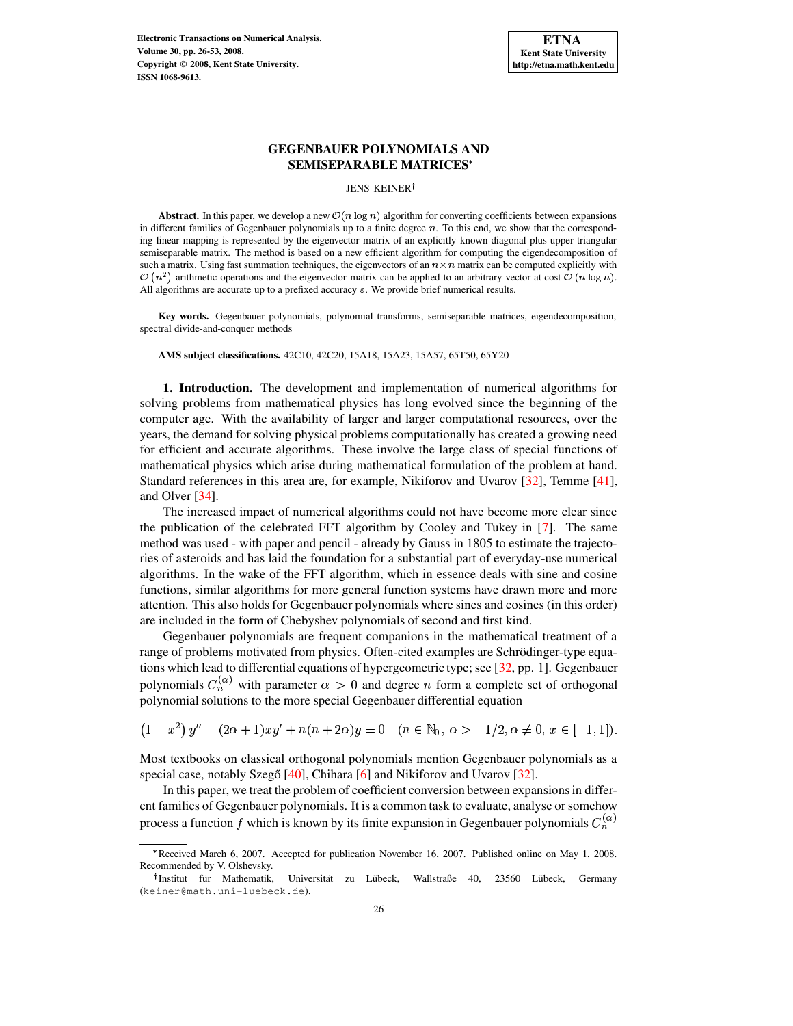**Electronic Transactions on Numerical Analysis. Volume 30, pp. 26-53, 2008. Copyright 2008, Kent State University. ISSN 1068-9613.**

# **GEGENBAUER POLYNOMIALS AND SEMISEPARABLE MATRICES**

#### JENS KEINER<sup>†</sup>

**Abstract.** In this paper, we develop a new  $\mathcal{O}(n \log n)$  algorithm for converting coefficients between expansions in different families of Gegenbauer polynomials up to a finite degree  $n$ . To this end, we show that the corresponding linear mapping is represented by the eigenvector matrix of an explicitly known diagonal plus upper triangular semiseparable matrix. The method is based on a new efficient algorithm for computing the eigendecomposition of such a matrix. Using fast summation techniques, the eigenvectors of an  $n \times n$  matrix can be computed explicitly with  $\mathcal{O}(n^2)$  arithmetic operations and the eigenvector matrix can be applied to an arbitrary vector at cost  $\mathcal{O}(n \log n)$ . All algorithms are accurate up to a prefixed accuracy  $\varepsilon$ . We provide brief numerical results.

**Key words.** Gegenbauer polynomials, polynomial transforms, semiseparable matrices, eigendecomposition, spectral divide-and-conquer methods

**AMS subject classifications.** 42C10, 42C20, 15A18, 15A23, 15A57, 65T50, 65Y20

**1. Introduction.** The development and implementation of numerical algorithms for solving problems from mathematical physics has long evolved since the beginning of the computer age. With the availability of larger and larger computational resources, over the years, the demand for solving physical problems computationally has created a growing need for efficient and accurate algorithms. These involve the large class of special functions of mathematical physics which arise during mathematical formulation of the problem at hand. Standard references in this area are, for example, Nikiforov and Uvarov [\[32\]](#page-27-0), Temme [\[41\]](#page-27-1), and Olver [\[34\]](#page-27-2).

The increased impact of numerical algorithms could not have become more clear since the publication of the celebrated FFT algorithm by Cooley and Tukey in [\[7\]](#page-26-0). The same method was used - with paper and pencil - already by Gauss in 1805 to estimate the trajectories of asteroids and has laid the foundation for a substantial part of everyday-use numerical algorithms. In the wake of the FFT algorithm, which in essence deals with sine and cosine functions, similar algorithms for more general function systems have drawn more and more attention. This also holds for Gegenbauer polynomials where sines and cosines (in this order) are included in the form of Chebyshev polynomials of second and first kind.

Gegenbauer polynomials are frequent companions in the mathematical treatment of a range of problems motivated from physics. Often-cited examples are Schrödinger-type equations which lead to differential equations of hypergeometric type; see [\[32,](#page-27-0) pp. 1]. Gegenbauer polynomials  $C_n^{(\alpha)}$  with parameter  $\alpha > 0$  and degree *n* form a complete set of orthogonal polynomial solutions to the more special Gegenbauer differential equation

$$
(1-x^2)y''-(2\alpha+1)xy'+n(n+2\alpha)y=0 \quad (n\in\mathbb{N}_0,\,\alpha>-1/2,\alpha\neq 0,\,x\in[-1,1]).
$$

Most textbooks on classical orthogonal polynomials mention Gegenbauer polynomials as a special case, notably Szegő  $[40]$ , Chihara  $[6]$  and Nikiforov and Uvarov  $[32]$ .

In this paper, we treat the problem of coefficient conversion between expansionsin different families of Gegenbauer polynomials. It is a common task to evaluate, analyse or somehow process a function f which is known by its finite expansion in Gegenbauer polynomials  $C_n^{(\alpha)}$ 

<sup>[</sup> Received March 6, 2007. Accepted for publication November 16, 2007. Published online on May 1, 2008. Recommended by V. Olshevsky.

<sup>&</sup>lt;sup>†</sup> Institut für Mathematik, Universität zu Lübeck, Wallstraße 40, 23560 Lübeck, Germany (keiner@math.uni-luebeck.de).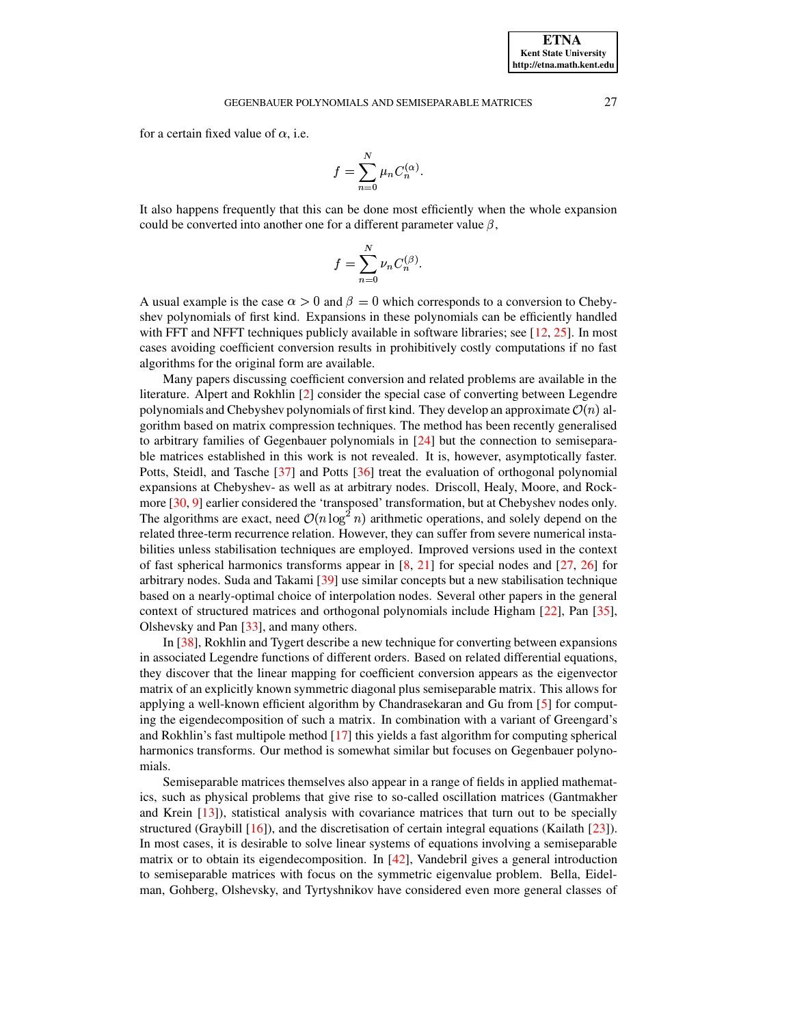## GEGENBAUER POLYNOMIALS AND SEMISEPARABLE MATRICES 27

for a certain fixed value of  $\alpha$ , i.e.

$$
f=\sum_{n=0}^N \mu_n C_n^{(\alpha)}.
$$

It also happens frequently that this can be done most efficiently when the whole expansion could be converted into another one for a different parameter value  $\beta$ ,

$$
f = \sum_{n=0}^{N} \nu_n C_n^{(\beta)}.
$$

A usual example is the case  $\alpha > 0$  and  $\beta = 0$  which corresponds to a conversion to Chebyshev polynomials of first kind. Expansions in these polynomials can be efficiently handled with FFT and NFFT techniques publicly available in software libraries; see [\[12,](#page-26-2) [25\]](#page-27-4). In most cases avoiding coefficient conversion results in prohibitively costly computations if no fast algorithms for the original form are available.

Many papers discussing coefficient conversion and related problems are available in the literature. Alpert and Rokhlin [\[2\]](#page-26-3) consider the special case of converting between Legendre polynomials and Chebyshev polynomials of first kind. They develop an approximate  $\mathcal{O}(n)$  algorithm based on matrix compression techniques. The method has been recently generalised to arbitrary families of Gegenbauer polynomials in [\[24\]](#page-27-5) but the connection to semiseparable matrices established in this work is not revealed. It is, however, asymptotically faster. Potts, Steidl, and Tasche [\[37\]](#page-27-6) and Potts [\[36\]](#page-27-7) treat the evaluation of orthogonal polynomial expansions at Chebyshev- as well as at arbitrary nodes. Driscoll, Healy, Moore, and Rockmore [\[30,](#page-27-8) [9\]](#page-26-4) earlier considered the 'transposed' transformation, but at Chebyshev nodes only. The algorithms are exact, need  $\mathcal{O}(n \log^2 n)$  arithn ) ) arithmetic operations, and solely depend on the related three-term recurrence relation. However, they can suffer from severe numerical instabilities unless stabilisation techniques are employed. Improved versions used in the context of fast spherical harmonics transforms appear in  $[8, 21]$  $[8, 21]$  $[8, 21]$  for special nodes and  $[27, 26]$  $[27, 26]$  $[27, 26]$  for arbitrary nodes. Suda and Takami [\[39\]](#page-27-12) use similar concepts but a new stabilisation technique based on a nearly-optimal choice of interpolation nodes. Several other papers in the general context of structured matrices and orthogonal polynomials include Higham [\[22\]](#page-27-13), Pan [\[35\]](#page-27-14), Olshevsky and Pan [\[33\]](#page-27-15), and many others.

In [\[38\]](#page-27-16), Rokhlin and Tygert describe a new technique for converting between expansions in associated Legendre functions of different orders. Based on related differential equations, they discover that the linear mapping for coefficient conversion appears as the eigenvector matrix of an explicitly known symmetric diagonal plus semiseparable matrix. This allows for applying a well-known efficient algorithm by Chandrasekaran and Gu from [\[5\]](#page-26-6) for computing the eigendecomposition of such a matrix. In combination with a variant of Greengard's and Rokhlin's fast multipole method [\[17\]](#page-27-17) this yields a fast algorithm for computing spherical harmonics transforms. Our method is somewhat similar but focuses on Gegenbauer polynomials.

Semiseparable matrices themselves also appear in a range of fields in applied mathematics, such as physical problems that give rise to so-called oscillation matrices (Gantmakher and Krein [\[13\]](#page-26-7)), statistical analysis with covariance matrices that turn out to be specially structured (Graybill [\[16\]](#page-27-18)), and the discretisation of certain integral equations (Kailath [\[23\]](#page-27-19)). In most cases, it is desirable to solve linear systems of equations involving a semiseparable matrix or to obtain its eigendecomposition. In [\[42\]](#page-27-20), Vandebril gives a general introduction to semiseparable matrices with focus on the symmetric eigenvalue problem. Bella, Eidelman, Gohberg, Olshevsky, and Tyrtyshnikov have considered even more general classes of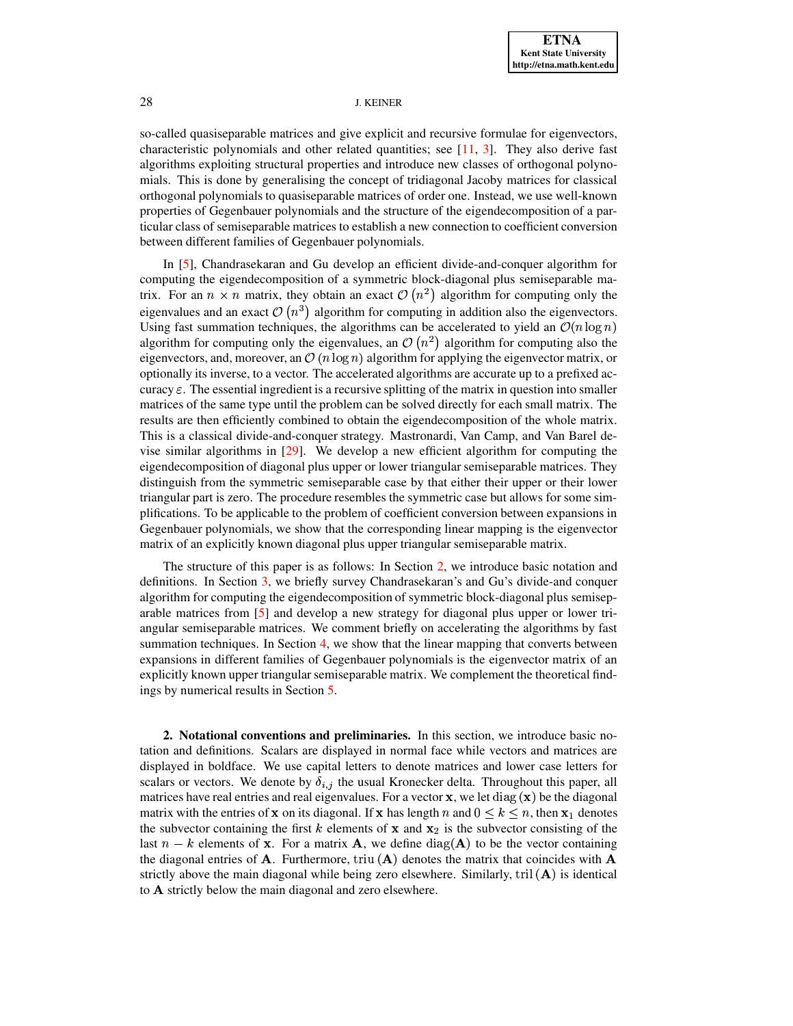so-called quasiseparable matrices and give explicit and recursive formulae for eigenvectors, characteristic polynomials and other related quantities; see [\[11,](#page-26-8) [3\]](#page-26-9). They also derive fast algorithms exploiting structural properties and introduce new classes of orthogonal polynomials. This is done by generalising the concept of tridiagonal Jacoby matrices for classical orthogonal polynomials to quasiseparable matrices of order one. Instead, we use well-known properties of Gegenbauer polynomials and the structure of the eigendecomposition of a particular class of semiseparable matrices to establish a new connection to coefficient conversion between different families of Gegenbauer polynomials.

In [\[5\]](#page-26-6), Chandrasekaran and Gu develop an efficient divide-and-conquer algorithm for computing the eigendecomposition of a symmetric block-diagonal plus semiseparable matrix. For an  $n \times n$  matrix, they obtain an exact  $\mathcal{O}(n^2)$  algorithm for computing only the eigenvalues and an exact  $\mathcal{O}(n^3)$  algorithm for computing in addition also the eigenvectors. Using fast summation techniques, the algorithms can be accelerated to yield an  $\mathcal{O}(n \log n)$ algorithm for computing only the eigenvalues, an  $\mathcal{O}(n^2)$  algorithm for computing also the eigenvectors, and, moreover, an  $\mathcal{O}(n \log n)$  algorithm for applying the eigenvector matrix, or optionally its inverse, to a vector. The accelerated algorithms are accurate up to a prefixed accuracy  $\varepsilon$ . The essential ingredient is a recursive splitting of the matrix in question into smaller matrices of the same type until the problem can be solved directly for each small matrix. The results are then efficiently combined to obtain the eigendecomposition of the whole matrix. This is a classical divide-and-conquer strategy. Mastronardi, Van Camp, and Van Barel devise similar algorithms in [\[29\]](#page-27-21). We develop a new efficient algorithm for computing the eigendecomposition of diagonal plus upper or lower triangular semiseparable matrices. They distinguish from the symmetric semiseparable case by that either their upper or their lower triangular part is zero. The procedure resembles the symmetric case but allows for some simplifications. To be applicable to the problem of coefficient conversion between expansions in Gegenbauer polynomials, we show that the corresponding linear mapping is the eigenvector matrix of an explicitly known diagonal plus upper triangular semiseparable matrix.

The structure of this paper is as follows: In Section [2,](#page-2-0) we introduce basic notation and definitions. In Section [3,](#page-4-0) we briefly survey Chandrasekaran's and Gu's divide-and conquer algorithm for computing the eigendecomposition of symmetric block-diagonal plus semiseparable matrices from [\[5\]](#page-26-6) and develop a new strategy for diagonal plus upper or lower triangular semiseparable matrices. We comment briefly on accelerating the algorithms by fast summation techniques. In Section [4,](#page-15-0) we show that the linear mapping that converts between expansions in different families of Gegenbauer polynomials is the eigenvector matrix of an explicitly known upper triangular semiseparable matrix. We complement the theoretical findings by numerical results in Section [5.](#page-23-0)

<span id="page-2-0"></span>**2. Notational conventions and preliminaries.** In this section, we introduce basic notation and definitions. Scalars are displayed in normal face while vectors and matrices are displayed in boldface. We use capital letters to denote matrices and lower case letters for scalars or vectors. We denote by  $\delta_{i,j}$  the usual Kronecker delta. Throughout this paper, all matrices have real entries and real eigenvalues. For a vector  $\mathbf{x}$ , we let diag  $(\mathbf{x})$  be the diagonal matrix with the entries of x on its diagonal. If x has length n and  $0 \leq k \leq n$ , then  $x_1$  denotes the subvector containing the first k elements of x and  $x_2$  is the subvector consisting of the last  $n - k$  elements of x. For a matrix **A**, we define  $diag(A)$  to be the vector containing the diagonal entries of **A**. Furthermore, triu  $({\bf A})$  denotes the matrix that coincides with **A** strictly above the main diagonal while being zero elsewhere. Similarly, tril  $(A)$  is identical to A strictly below the main diagonal and zero elsewhere.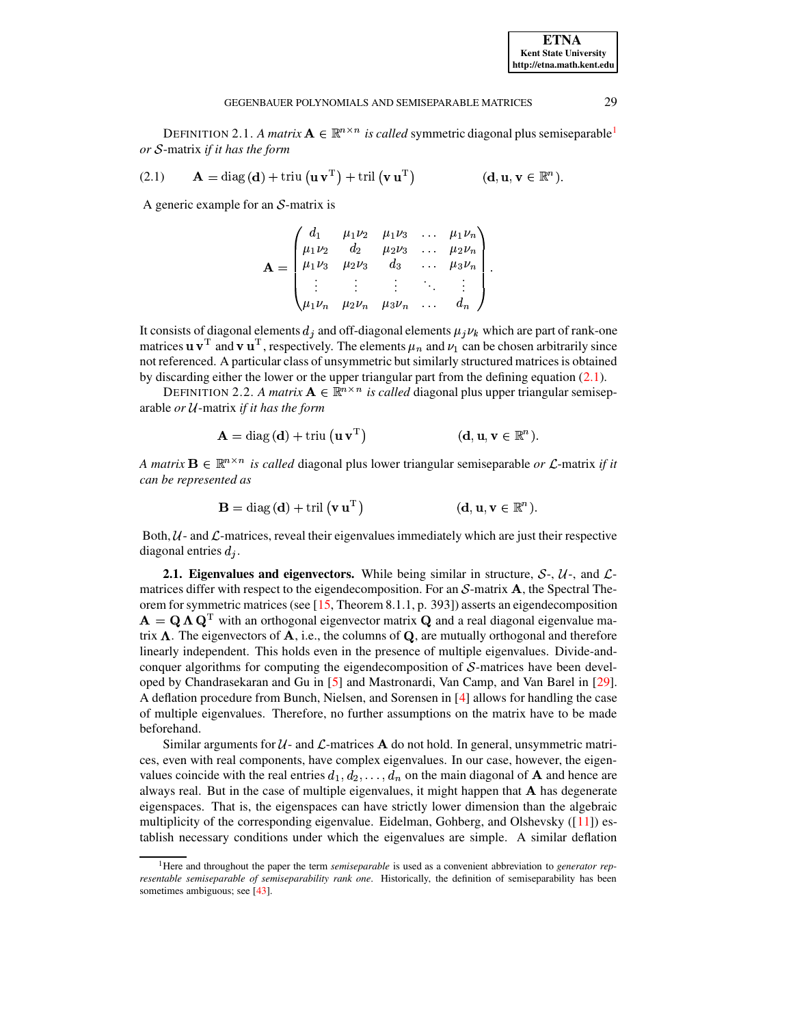DEFINITION 2.[1](#page-3-0). *A matrix*  $\mathbf{A} \in \mathbb{R}^{n \times n}$  *is called* symmetric diagonal plus semiseparable<sup>1</sup> *or* S-matrix *if it* has the form

<span id="page-3-1"></span>(2.1) 
$$
\mathbf{A} = \text{diag}(\mathbf{d}) + \text{triu}(\mathbf{u}\mathbf{v}^{\mathrm{T}}) + \text{tril}(\mathbf{v}\mathbf{u}^{\mathrm{T}})
$$
  $(\mathbf{d}, \mathbf{u}, \mathbf{v} \in \mathbb{R}^{n}).$ 

A generic example for an  $S$ -matrix is

$$
\mathbf{A} = \begin{pmatrix} d_1 & \mu_1 \nu_2 & \mu_1 \nu_3 & \dots & \mu_1 \nu_n \\ \mu_1 \nu_2 & d_2 & \mu_2 \nu_3 & \dots & \mu_2 \nu_n \\ \mu_1 \nu_3 & \mu_2 \nu_3 & d_3 & \dots & \mu_3 \nu_n \\ \vdots & \vdots & \vdots & \ddots & \vdots \\ \mu_1 \nu_n & \mu_2 \nu_n & \mu_3 \nu_n & \dots & d_n \end{pmatrix}.
$$

It consists of diagonal elements  $d_j$  and off-diagonal elements  $\mu_j \nu_k$  which are part of rank-one<br>matrices u  $\mathbf{v}^T$  and  $\mathbf{v}$  u<sup>T</sup> respectively. The elements using the chosen arbitrarily since matrices  $\mathbf{u} \mathbf{v}^{\mathrm{T}}$  and  $\mathbf{v} \mathbf{u}^{\mathrm{T}}$ , respectively. The elements  $\mu_n$  and  $\nu_1$  can be chosen arbitrarily since not referenced. A particular class of unsymmetric but similarly structured matrices is obtained by discarding either the lower or the upper triangular part from the defining equation [\(2.1\)](#page-3-1).

DEFINITION 2.2. *A matrix*  $A \in \mathbb{R}^{n \times n}$  *is called* diagonal plus upper triangular semiseparable *or U*-matrix *if it* has the form

$$
\mathbf{A} = \text{diag}(\mathbf{d}) + \text{triu}(\mathbf{u}\,\mathbf{v}^{\mathrm{T}}) \tag{d, u, v \in \mathbb{R}^{n}}.
$$

*A matrix*  $\mathbf{B} \in \mathbb{R}^{n \times n}$  *is called* diagonal plus lower triangular semiseparable *or*  $\mathcal{L}$ -matrix *if it can be represented as*

$$
\mathbf{B} = \text{diag}\left(\mathbf{d}\right) + \text{tril}\left(\mathbf{v}\,\mathbf{u}^{\mathrm{T}}\right) \tag{d, u, v \in \mathbb{R}^n}.
$$

Both,  $U$ - and  $\mathcal{L}$ -matrices, reveal their eigenvalues immediately which are just their respective diagonal entries  $d_i$ .

**2.1. Eigenvalues and eigenvectors.** While being similar in structure,  $S$ -,  $\mathcal{U}$ -, and  $\mathcal{L}$ matrices differ with respect to the eigendecomposition. For an  $S$ -matrix  $A$ , the Spectral Theorem forsymmetric matrices (see [\[15,](#page-26-10) Theorem 8.1.1, p. 393]) asserts an eigendecomposition }  $=$  Q  $\Lambda$  Q<sup>T</sup> with an orthogonal eigenvector matrix Q and a real diagonal eigenvalue matrix  $\Lambda$ . The eigenvectors of  $A$ , i.e., the columns of  $Q$ , are mutually orthogonal and therefore linearly independent. This holds even in the presence of multiple eigenvalues. Divide-andconquer algorithms for computing the eigendecomposition of  $S$ -matrices have been developed by Chandrasekaran and Gu in [\[5\]](#page-26-6) and Mastronardi, Van Camp, and Van Barel in [\[29\]](#page-27-21). A deflation procedure from Bunch, Nielsen, and Sorensen in [\[4\]](#page-26-11) allows for handling the case of multiple eigenvalues. Therefore, no further assumptions on the matrix have to be made beforehand.

Similar arguments for  $U$ - and  $\mathcal{L}$ -matrices **A** do not hold. In general, unsymmetric matrices, even with real components, have complex eigenvalues. In our case, however, the eigenvalues coincide with the real entries  $d_1, d_2, \ldots, d_n$  o  $\ldots, d_n$  on the main diagonal of **A** and hence are always real. But in the case of multiple eigenvalues, it might happen that  $A$  has degenerate eigenspaces. That is, the eigenspaces can have strictly lower dimension than the algebraic multiplicity of the corresponding eigenvalue. Eidelman, Gohberg, and Olshevsky ([\[11\]](#page-26-8)) establish necessary conditions under which the eigenvalues are simple. A similar deflation

**ETNA Kent State University http://etna.math.kent.edu**

<span id="page-3-0"></span><sup>1</sup>Here and throughout the paper the term *semiseparable* is used as a convenient abbreviation to *generator representable semiseparable of semiseparability rank one*. Historically, the definition of semiseparability has been sometimes ambiguous; see [\[43\]](#page-27-22).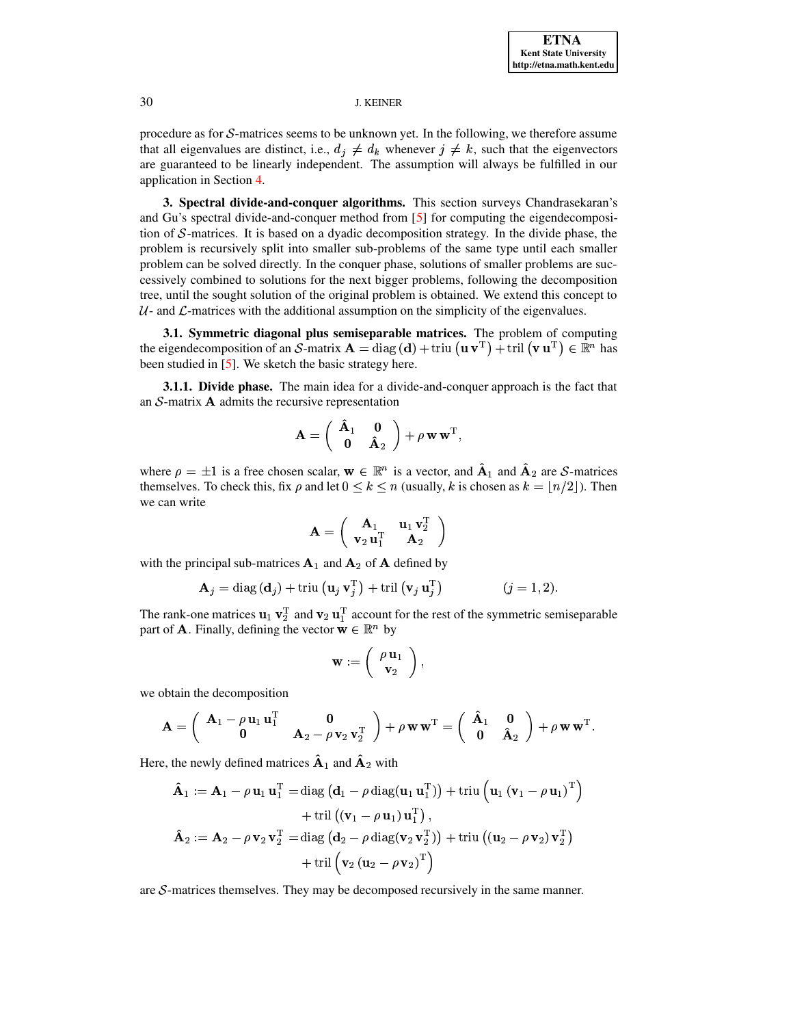procedure as for  $S$ -matrices seems to be unknown yet. In the following, we therefore assume that all eigenvalues are distinct, i.e.,  $d_j \neq d_k$  whenever  $j \neq k$ , such that the eigenvectors are guaranteed to be linearly independent. The assumption will always be fulfilled in our application in Section [4.](#page-15-0)

<span id="page-4-0"></span>**3. Spectral divide-and-conquer algorithms.** This section surveys Chandrasekaran's and Gu's spectral divide-and-conquer method from [\[5\]](#page-26-6) for computing the eigendecomposition of  $S$ -matrices. It is based on a dyadic decomposition strategy. In the divide phase, the problem is recursively split into smaller sub-problems of the same type until each smaller problem can be solved directly. In the conquer phase, solutions of smaller problems are successively combined to solutions for the next bigger problems, following the decomposition tree, until the sought solution of the original problem is obtained. We extend this concept to  $U$ - and  $\mathcal{L}$ -matrices with the additional assumption on the simplicity of the eigenvalues.

<span id="page-4-1"></span>**3.1. Symmetric diagonal plus semiseparable matrices.** The problem of computing the eigendecomposition of an S-matrix  ${\bf A} = {\rm diag}\,({\bf d}) + {\rm triu}\,({\bf u}\,{\bf v}^{\rm T}) + {\rm trii}\,({\bf v}\,{\bf u}^{\rm T}) \in \mathbb{R}^n$  has been studied in [\[5\]](#page-26-6). We sketch the basic strategy here.

**3.1.1. Divide phase.** The main idea for a divide-and-conquer approach is the fact that an  $S$ -matrix  $\bf{A}$  admits the recursive representation

$$
\mathbf{A} = \left( \begin{array}{cc} \mathbf{\hat{A}}_1 & \mathbf{0} \\ \mathbf{0} & \mathbf{\hat{A}}_2 \end{array} \right) + \rho \mathbf{w} \mathbf{w}^{\mathrm{T}},
$$

where  $\rho = \pm 1$  is a free chosen scalar,  $w \in \mathbb{R}^n$  is a vector, and  $\hat{A}_1$  and  $\hat{A}_2$  are S-matrices themselves. To check this, fix  $\rho$  and let  $0 \leq k \leq n$  (usually, k is chosen as  $k = \lfloor n/2 \rfloor$ ). Then we can write

$$
\mathbf{A} = \left(\begin{array}{cc} \mathbf{A}_1 & \mathbf{u}_1 \mathbf{v}_2^\mathrm{T}\\ \mathbf{v}_2 \mathbf{u}_1^\mathrm{T} & \mathbf{A}_2 \end{array}\right)
$$

with the principal sub-matrices  ${\bf A}_1$  and  ${\bf A}_2$  of  ${\bf A}$  defined by

$$
\mathbf{A}_{j} = \text{diag}(\mathbf{d}_{j}) + \text{triu}(\mathbf{u}_{j} \mathbf{v}_{j}^{T}) + \text{tril}(\mathbf{v}_{j} \mathbf{u}_{j}^{T}) \qquad (j = 1, 2).
$$

The rank-one matrices  $\mathbf{u}_1 \mathbf{v}_2^{\mathrm{T}}$  and  $\mathbf{v}_2 \mathbf{u}_1^{\mathrm{T}}$  account for the rest of the symmetric semiseparable part of **A**. Finally, defining the vector  $\mathbf{w} \in \mathbb{R}^n$  by

$$
\mathbf{w}:=\left(\begin{array}{c} \rho\,\mathbf{u}_1\\ \mathbf{v}_2\end{array}\right),\qquad
$$

we obtain the decomposition

$$
\mathbf{A} = \begin{pmatrix} \mathbf{A}_1 - \rho \mathbf{u}_1 \mathbf{u}_1^{\mathrm{T}} & \mathbf{0} \\ \mathbf{0} & \mathbf{A}_2 - \rho \mathbf{v}_2 \mathbf{v}_2^{\mathrm{T}} \end{pmatrix} + \rho \mathbf{w} \mathbf{w}^{\mathrm{T}} = \begin{pmatrix} \mathbf{\hat{A}}_1 & \mathbf{0} \\ \mathbf{0} & \mathbf{\hat{A}}_2 \end{pmatrix} + \rho \mathbf{w} \mathbf{w}^{\mathrm{T}}.
$$

Here, the newly defined matrices  $\mathbf{A}_1$  and  $\mathbf{A}_2$  with

$$
\hat{\mathbf{A}}_1 := \mathbf{A}_1 - \rho \mathbf{u}_1 \mathbf{u}_1^{\mathrm{T}} = \text{diag} \left( \mathbf{d}_1 - \rho \text{ diag}(\mathbf{u}_1 \mathbf{u}_1^{\mathrm{T}}) \right) + \text{triu} \left( \mathbf{u}_1 \left( \mathbf{v}_1 - \rho \mathbf{u}_1 \right)^{\mathrm{T}} \right) \n+ \text{tril} \left( \left( \mathbf{v}_1 - \rho \mathbf{u}_1 \right) \mathbf{u}_1^{\mathrm{T}} \right), \n\hat{\mathbf{A}}_2 := \mathbf{A}_2 - \rho \mathbf{v}_2 \mathbf{v}_2^{\mathrm{T}} = \text{diag} \left( \mathbf{d}_2 - \rho \text{ diag}(\mathbf{v}_2 \mathbf{v}_2^{\mathrm{T}}) \right) + \text{triu} \left( \left( \mathbf{u}_2 - \rho \mathbf{v}_2 \right) \mathbf{v}_2^{\mathrm{T}} \right) \n+ \text{tril} \left( \mathbf{v}_2 \left( \mathbf{u}_2 - \rho \mathbf{v}_2 \right)^{\mathrm{T}} \right)
$$

are  $S$ -matrices themselves. They may be decomposed recursively in the same manner.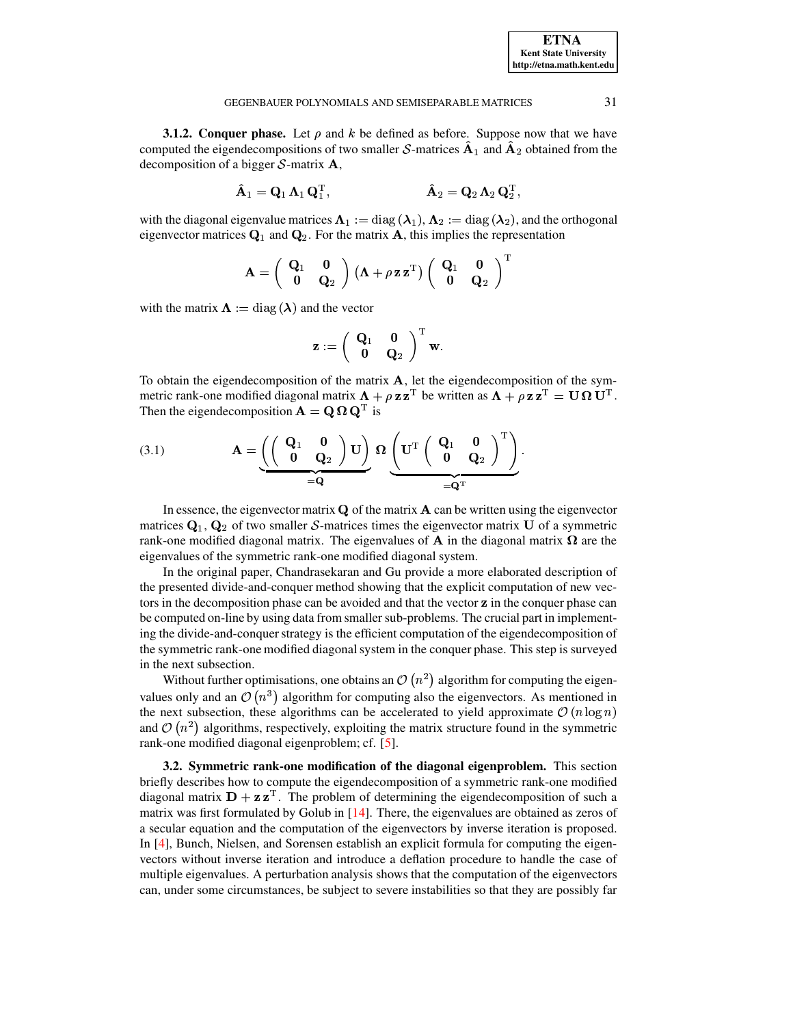**3.1.2. Conquer phase.** Let  $\rho$  and  $k$  be defined as before. Suppose now that we have computed the eigendecompositions of two smaller  $S$ -matrices  $\mathbf{A}_1$  and  $\mathbf{A}_2$  obtained from the decomposition of a bigger  $S$ -matrix  $A$ ,

$$
\hat{\mathbf{A}}_1 = \mathbf{Q}_1 \, \mathbf{\Lambda}_1 \, \mathbf{Q}_1^{\mathrm{T}}, \qquad \qquad \hat{\mathbf{A}}_2 = \mathbf{Q}_2 \, \mathbf{\Lambda}_2 \, \mathbf{Q}_2^{\mathrm{T}},
$$

with the diagonal eigenvalue matrices  $\Lambda_1 := \text{diag}(\lambda_1)$ ,  $\Lambda_2 := \text{diag}(\lambda_2)$ , and the orthogonal eigenvector matrices  $\mathbf{Q}_1$  and  $\mathbf{Q}_2$ . For the matrix **A**, this implies the representation

$$
\mathbf{A} = \left(\begin{array}{cc} \mathbf{Q}_1 & \mathbf{0} \\ \mathbf{0} & \mathbf{Q}_2 \end{array}\right) (\mathbf{\Lambda} + \rho \mathbf{z} \mathbf{z}^{\mathrm{T}}) \left(\begin{array}{cc} \mathbf{Q}_1 & \mathbf{0} \\ \mathbf{0} & \mathbf{Q}_2 \end{array}\right)^{\mathrm{T}}
$$

with the matrix  $\Lambda := diag(\lambda)$  and the vector

<span id="page-5-0"></span>
$$
\mathbf{z}:=\left(\begin{array}{cc} \mathbf{Q}_1 & \mathbf{0} \\ \mathbf{0} & \mathbf{Q}_2 \end{array}\right)^{\mathrm{T}}\mathbf{w}.
$$

To obtain the eigendecomposition of the matrix  $A$ , let the eigendecomposition of the symmetric rank-one modified diagonal matrix  $\mathbf{\Lambda} + \rho \mathbf{z} \mathbf{z}^{\text{T}}$  be written as  $\mathbf{\Lambda} + \rho \mathbf{z} \mathbf{z}^{\text{T}} = \mathbf{U} \mathbf{\Omega} \mathbf{U}^{\text{T}}$ . Then the eigendecomposition  $\mathbf{A} = \mathbf{Q} \Omega \mathbf{Q}^{\mathrm{T}}$  is

(3.1) 
$$
\mathbf{A} = \underbrace{\left(\left(\begin{array}{cc} \mathbf{Q}_1 & \mathbf{0} \\ \mathbf{0} & \mathbf{Q}_2 \end{array}\right) \mathbf{U}\right)}_{= \mathbf{Q}} \mathbf{\Omega} \underbrace{\left(\mathbf{U}^{\mathrm{T}} \left(\begin{array}{cc} \mathbf{Q}_1 & \mathbf{0} \\ \mathbf{0} & \mathbf{Q}_2 \end{array}\right)^{\mathrm{T}}\right)}_{= \mathbf{Q}^{\mathrm{T}}}.
$$

In essence, the eigenvector matrix  $\bf{Q}$  of the matrix  $\bf{A}$  can be written using the eigenvector matrices  $Q_1$ ,  $Q_2$  of two smaller S-matrices times the eigenvector matrix U of a symmetric rank-one modified diagonal matrix. The eigenvalues of **A** in the diagonal matrix  $\Omega$  are the eigenvalues of the symmetric rank-one modified diagonal system.

In the original paper, Chandrasekaran and Gu provide a more elaborated description of the presented divide-and-conquer method showing that the explicit computation of new vectors in the decomposition phase can be avoided and that the vector z in the conquer phase can be computed on-line by using data from smaller sub-problems. The crucial part in implementing the divide-and-conquer strategy is the efficient computation of the eigendecomposition of the symmetric rank-one modified diagonal system in the conquer phase. This step is surveyed in the next subsection.

Without further optimisations, one obtains an  $\mathcal{O}(n^2)$  algorithm for computing the eigenvalues only and an  $\mathcal{O}(n^3)$  algorithm for computing also the eigenvectors. As mentioned in the next subsection, these algorithms can be accelerated to yield approximate  $\mathcal{O}(n \log n)$ and  $\mathcal{O}(n^2)$  algorithms, respectively, exploiting the matrix structure found in the symmetric rank-one modified diagonal eigenproblem; cf. [5].

<span id="page-5-1"></span>3.2. Symmetric rank-one modification of the diagonal eigenproblem. This section briefly describes how to compute the eigendecomposition of a symmetric rank-one modified diagonal matrix  $\mathbf{D} + \mathbf{z} \mathbf{z}^{\mathrm{T}}$ . The problem of determining the eigendecomposition of such a matrix was first formulated by Golub in [14]. There, the eigenvalues are obtained as zeros of a secular equation and the computation of the eigenvectors by inverse iteration is proposed. In [4], Bunch, Nielsen, and Sorensen establish an explicit formula for computing the eigenvectors without inverse iteration and introduce a deflation procedure to handle the case of multiple eigenvalues. A perturbation analysis shows that the computation of the eigenvectors can, under some circumstances, be subject to severe instabilities so that they are possibly far

**ETNA Kent State University** http://etna.math.kent.edu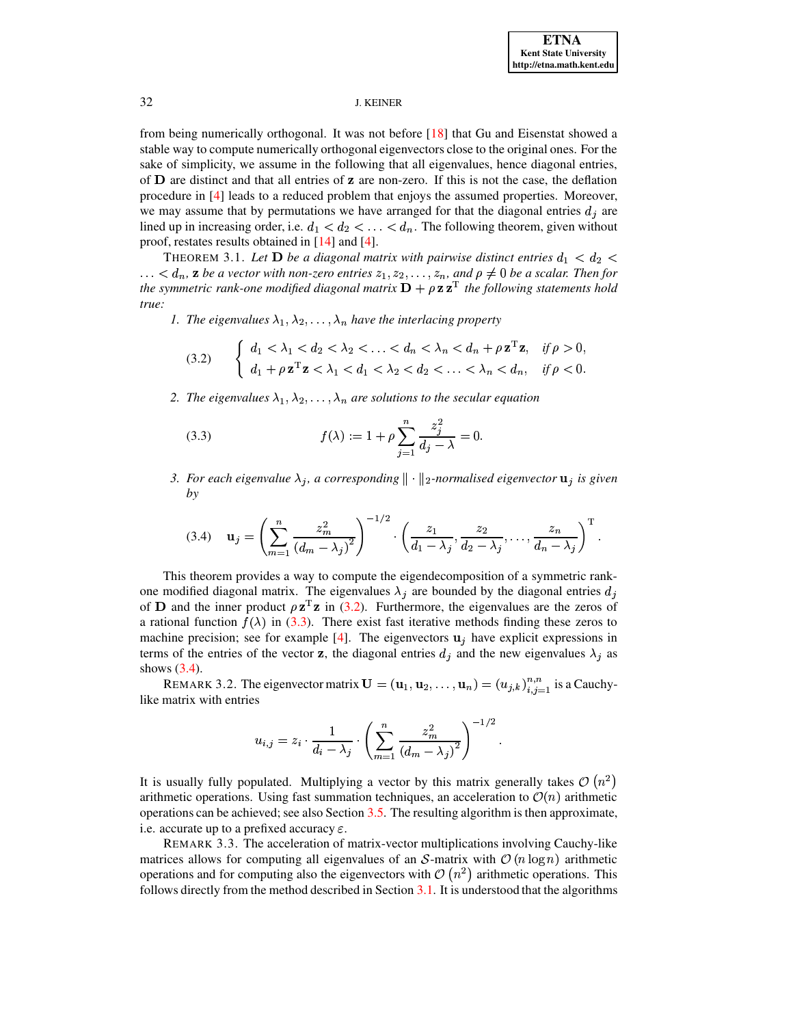from being numerically orthogonal. It was not before [18] that Gu and Eisenstat showed a stable way to compute numerically orthogonal eigenvectors close to the original ones. For the sake of simplicity, we assume in the following that all eigenvalues, hence diagonal entries, of **D** are distinct and that all entries of **z** are non-zero. If this is not the case, the deflation procedure in [4] leads to a reduced problem that enjoys the assumed properties. Moreover, we may assume that by permutations we have arranged for that the diagonal entries  $d_i$  are lined up in increasing order, i.e.  $d_1 < d_2 < \ldots < d_n$ . The following theorem, given without proof, restates results obtained in  $[14]$  and  $[4]$ .

<span id="page-6-3"></span>THEOREM 3.1. Let **D** be a diagonal matrix with pairwise distinct entries  $d_1 < d_2$  $\ldots < d_n$ , **z** be a vector with non-zero entries  $z_1, z_2, \ldots, z_n$ , and  $\rho \neq 0$  be a scalar. Then for the symmetric rank-one modified diagonal matrix  $\mathbf{D} + \rho \mathbf{z} \mathbf{z}^T$  the following statements hold true:

1. The eigenvalues  $\lambda_1, \lambda_2, \ldots, \lambda_n$  have the interlacing property

<span id="page-6-0"></span>
$$
(3.2) \qquad \begin{cases} \n\begin{aligned}\n d_1 < \lambda_1 < d_2 < \lambda_2 < \ldots < d_n < \lambda_n < d_n + \rho \mathbf{z}^T \mathbf{z}, & \text{if } \rho > 0, \\
 d_1 + \rho \mathbf{z}^T \mathbf{z} < \lambda_1 < d_1 < \lambda_2 < d_2 < \ldots < \lambda_n < d_n, & \text{if } \rho < 0.\n\end{aligned}\n\end{cases}
$$

2. The eigenvalues  $\lambda_1, \lambda_2, \ldots, \lambda_n$  are solutions to the secular equation

<span id="page-6-1"></span>(3.3) 
$$
f(\lambda) := 1 + \rho \sum_{j=1}^{n} \frac{z_j^2}{d_j - \lambda} = 0.
$$

<span id="page-6-2"></span>3. For each eigenvalue  $\lambda_j$ , a corresponding  $\|\cdot\|_2$ -normalised eigenvector  $\mathbf{u}_j$  is given  $by$ 

$$
(3.4) \quad \mathbf{u}_{j} = \left(\sum_{m=1}^{n} \frac{z_{m}^{2}}{(d_{m}-\lambda_{j})^{2}}\right)^{-1/2} \cdot \left(\frac{z_{1}}{d_{1}-\lambda_{j}}, \frac{z_{2}}{d_{2}-\lambda_{j}}, \ldots, \frac{z_{n}}{d_{n}-\lambda_{j}}\right)^{\mathrm{T}}.
$$

This theorem provides a way to compute the eigendecomposition of a symmetric rankone modified diagonal matrix. The eigenvalues  $\lambda_j$  are bounded by the diagonal entries  $d_j$ of **D** and the inner product  $\rho z^T z$  in (3.2). Furthermore, the eigenvalues are the zeros of a rational function  $f(\lambda)$  in (3.3). There exist fast iterative methods finding these zeros to machine precision; see for example [4]. The eigenvectors  $\mathbf{u}_i$  have explicit expressions in terms of the entries of the vector z, the diagonal entries  $d_j$  and the new eigenvalues  $\lambda_j$  as shows  $(3.4)$ .

REMARK 3.2. The eigenvector matrix  $\mathbf{U} = (\mathbf{u}_1, \mathbf{u}_2, \dots, \mathbf{u}_n) = (u_{j,k})_{i,j=1}^{n,n}$  is a Cauchylike matrix with entries

$$
u_{i,j} = z_i \cdot \frac{1}{d_i - \lambda_j} \cdot \left( \sum_{m=1}^n \frac{z_m^2}{(d_m - \lambda_j)^2} \right)^{-1/2}
$$

It is usually fully populated. Multiplying a vector by this matrix generally takes  $\mathcal{O}(n^2)$ arithmetic operations. Using fast summation techniques, an acceleration to  $\mathcal{O}(n)$  arithmetic operations can be achieved; see also Section 3.5. The resulting algorithm is then approximate, i.e. accurate up to a prefixed accuracy  $\varepsilon$ .

REMARK 3.3. The acceleration of matrix-vector multiplications involving Cauchy-like matrices allows for computing all eigenvalues of an S-matrix with  $\mathcal{O}(n \log n)$  arithmetic operations and for computing also the eigenvectors with  $\mathcal{O}(n^2)$  arithmetic operations. This follows directly from the method described in Section  $3.1$ . It is understood that the algorithms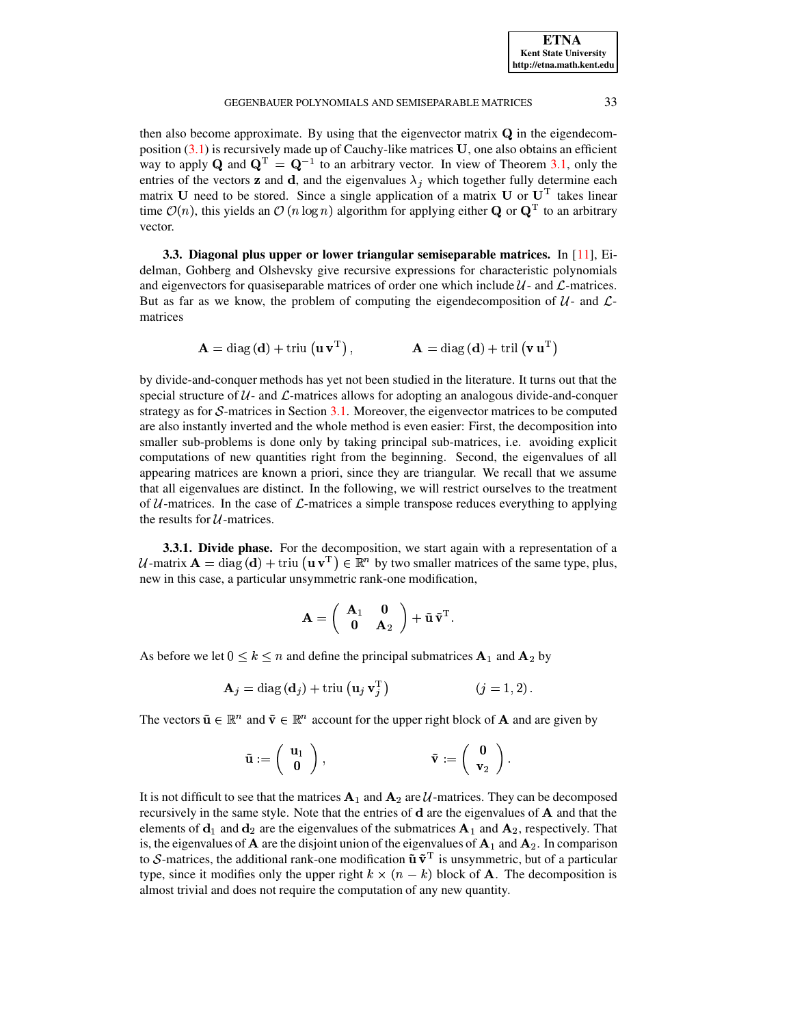## GEGENBAUER POLYNOMIALS AND SEMISEPARABLE MATRICES 33

then also become approximate. By using that the eigenvector matrix  $Q$  in the eigendecomposition  $(3.1)$  is recursively made up of Cauchy-like matrices  $U$ , one also obtains an efficient way to apply Q and  $\mathbf{Q}^{\mathrm{T}} = \mathbf{Q}^{-1}$  to an arbitrary vector. In view of Theorem [3.1,](#page-6-3) only the entries of the vectors **z** and **d**, and the eigenvalues  $\lambda_j$  which together fully determine each matrix U need to be stored. Since a single application of a matrix U or  $U<sup>T</sup>$  takes linear time  $\mathcal{O}(n)$ , this yields an  $\mathcal{O}(n \log n)$  algorithm for applying either **Q** or  $\mathbf{Q}^T$  to an arbitrary vector.

<span id="page-7-0"></span>**3.3. Diagonal plus upper or lower triangular semiseparable matrices.** In [\[11\]](#page-26-8), Eidelman, Gohberg and Olshevsky give recursive expressions for characteristic polynomials and eigenvectors for quasiseparable matrices of order one which include  $\mathcal{U}$ - and  $\mathcal{L}$ -matrices. But as far as we know, the problem of computing the eigendecomposition of  $\mathcal{U}$ - and  $\mathcal{L}$ matrices

$$
\mathbf{A} = \text{diag}\left(\mathbf{d}\right) + \text{triu}\left(\mathbf{u}\,\mathbf{v}^{\mathrm{T}}\right), \qquad \qquad \mathbf{A} = \text{diag}\left(\mathbf{d}\right) + \text{tril}\left(\mathbf{v}\,\mathbf{u}^{\mathrm{T}}\right)
$$

by divide-and-conquer methods has yet not been studied in the literature. It turns out that the special structure of  $U$ - and  $\mathcal{L}$ -matrices allows for adopting an analogous divide-and-conquer strategy as for  $S$ -matrices in Section [3.1.](#page-4-1) Moreover, the eigenvector matrices to be computed are also instantly inverted and the whole method is even easier: First, the decomposition into smaller sub-problems is done only by taking principal sub-matrices, i.e. avoiding explicit computations of new quantities right from the beginning. Second, the eigenvalues of all appearing matrices are known a priori, since they are triangular. We recall that we assume that all eigenvalues are distinct. In the following, we will restrict ourselves to the treatment of  $U$ -matrices. In the case of  $\mathcal{L}$ -matrices a simple transpose reduces everything to applying the results for  $U$ -matrices.

**3.3.1. Divide phase.** For the decomposition, we start again with a representation of a *U*-matrix  $\mathbf{A} = \text{diag}(\mathbf{d}) + \text{triu}(\mathbf{u}\mathbf{v}^T) \in \mathbb{R}^n$  by two smaller matrices of the same type, plus, new in this case, a particular unsymmetric rank-one modification,

$$
\mathbf{A} = \left(\begin{array}{cc} \mathbf{A}_1 & \mathbf{0} \\ \mathbf{0} & \mathbf{A}_2 \end{array}\right) + \mathbf{\tilde{u}} \, \mathbf{\tilde{v}}^{\mathrm{T}}.
$$

As before we let  $0 \leq k \leq n$  and define the principal submatrices  ${\bf A}_1$  and  ${\bf A}_2$  by

$$
\mathbf{A}_{j} = \text{diag}\left(\mathbf{d}_{j}\right) + \text{triu}\left(\mathbf{u}_{j}\,\mathbf{v}_{j}^{\mathrm{T}}\right) \qquad (j = 1, 2).
$$

The vectors  $\tilde{\mathbf{u}} \in \mathbb{R}^n$  and  $\tilde{\mathbf{v}} \in \mathbb{R}^n$  account for the upper right block of **A** and are given by

$$
\tilde{\mathbf{u}} := \left(\begin{array}{c} \mathbf{u}_1 \\ \mathbf{0} \end{array} \right), \hspace{5cm} \tilde{\mathbf{v}} := \left(\begin{array}{c} \mathbf{0} \\ \mathbf{v}_2 \end{array} \right).
$$

It is not difficult to see that the matrices  ${\bf A}_1$  and  ${\bf A}_2$  are U-matrices. They can be decomposed recursively in the same style. Note that the entries of  $d$  are the eigenvalues of  $A$  and that the elements of  $\mathbf{d}_1$  and  $\mathbf{d}_2$  are the eigenvalues of the submatrices  $\mathbf{A}_1$  and  $\mathbf{A}_2$ , respectively. That is, the eigenvalues of  ${\bf A}$  are the disjoint union of the eigenvalues of  ${\bf A}_1$  and  ${\bf A}_2$ . In comparison to S-matrices, the additional rank-one modification  $\tilde{\mathbf{u}} \tilde{\mathbf{v}}^{\mathrm{T}}$  is unsymmetric, but of a particular type, since it modifies only the upper right  $k \times (n - k)$  block of ) block of **A**. The decomposition is almost trivial and does not require the computation of any new quantity.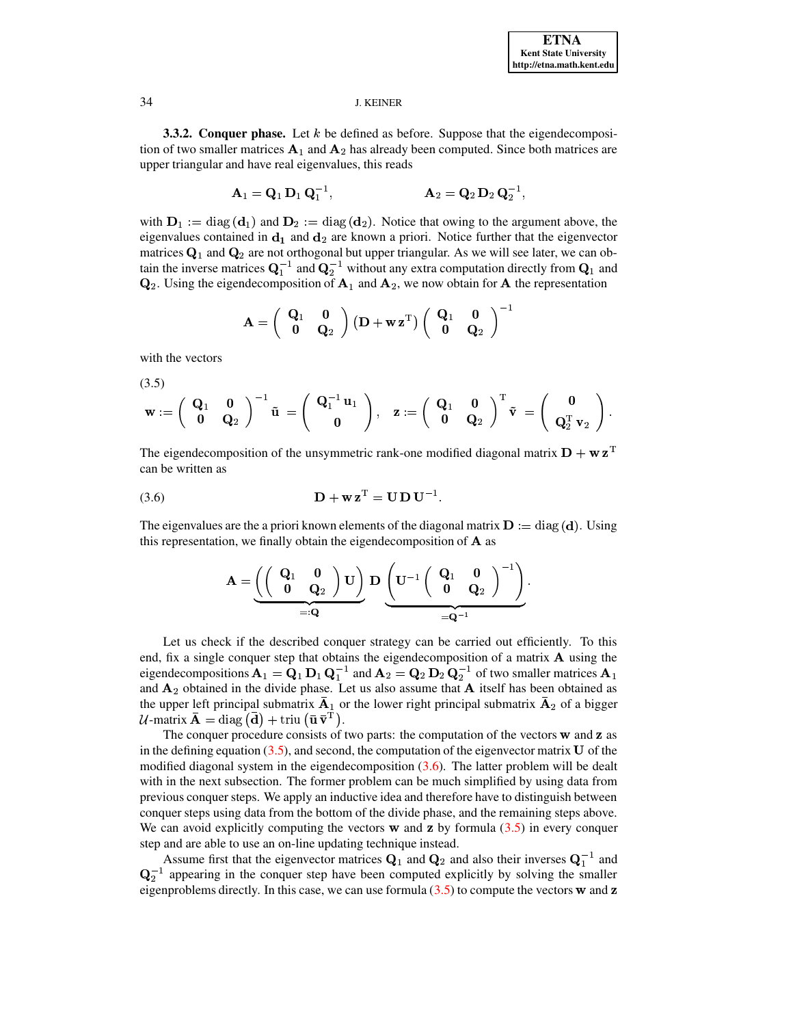3.3.2. Conquer phase. Let  $k$  be defined as before. Suppose that the eigendecomposition of two smaller matrices  $A_1$  and  $A_2$  has already been computed. Since both matrices are upper triangular and have real eigenvalues, this reads

$$
A_1 = Q_1 D_1 Q_1^{-1}, \qquad A_2 = Q_2 D_2 Q_2^{-1},
$$

with  $D_1 := diag(d_1)$  and  $D_2 := diag(d_2)$ . Notice that owing to the argument above, the eigenvalues contained in  $d_1$  and  $d_2$  are known a priori. Notice further that the eigenvector matrices  $Q_1$  and  $Q_2$  are not orthogonal but upper triangular. As we will see later, we can obtain the inverse matrices  $\mathbf{Q}_1^{-1}$  and  $\mathbf{Q}_2^{-1}$  without any extra computation directly from  $\mathbf{Q}_1$  and  $\mathbf{Q}_2$ . Using the eigendecomposition of  $\mathbf{A}_1$  and  $\mathbf{A}_2$ , we now obtain for  $\mathbf{A}$  the representation

$$
\mathbf{A} = \left(\begin{array}{cc} \mathbf{Q}_1 & \mathbf{0} \\ \mathbf{0} & \mathbf{Q}_2 \end{array}\right) \left(\mathbf{D} + \mathbf{w} \, \mathbf{z}^{\text{T}}\right) \left(\begin{array}{cc} \mathbf{Q}_1 & \mathbf{0} \\ \mathbf{0} & \mathbf{Q}_2 \end{array}\right)^{\text{-}}
$$

with the vectors

<span id="page-8-0"></span> $(3.5)$ 

$$
\mathbf{w}:=\left(\begin{array}{cc} \mathbf{Q}_1 & \mathbf{0} \\ \mathbf{0} & \mathbf{Q}_2 \end{array}\right)^{-1}\mathbf{\tilde{u}}\ =\left(\begin{array}{c} \mathbf{Q}_1^{-1}\,\mathbf{u}_1 \\ \mathbf{0} \end{array}\right),\quad \mathbf{z}:=\left(\begin{array}{cc} \mathbf{Q}_1 & \mathbf{0} \\ \mathbf{0} & \mathbf{Q}_2 \end{array}\right)^{\rm T}\mathbf{\tilde{v}}\ =\left(\begin{array}{c} \mathbf{0} \\ \mathbf{Q}_2^{\rm T}\,\mathbf{v}_2 \end{array}\right)
$$

<span id="page-8-1"></span>The eigendecomposition of the unsymmetric rank-one modified diagonal matrix  $D + w z^T$ can be written as

$$
(3.6) \qquad \qquad \mathbf{D} + \mathbf{w} \mathbf{z}^{\mathrm{T}} = \mathbf{U} \mathbf{D} \mathbf{U}^{-1}
$$

The eigenvalues are the a priori known elements of the diagonal matrix  $\mathbf{D} := diag(\mathbf{d})$ . Using this representation, we finally obtain the eigendecomposition of A as

$$
\mathbf{A} = \underbrace{\left(\left(\begin{array}{cc} \mathbf{Q}_1 & \mathbf{0} \\ \mathbf{0} & \mathbf{Q}_2 \end{array}\right) \mathbf{U}\right)}_{=: \mathbf{Q}} \mathbf{D} \underbrace{\left(\mathbf{U}^{-1} \left(\begin{array}{cc} \mathbf{Q}_1 & \mathbf{0} \\ \mathbf{0} & \mathbf{Q}_2 \end{array}\right)^{-1}\right)}_{= \mathbf{Q}^{-1}}.
$$

Let us check if the described conquer strategy can be carried out efficiently. To this end, fix a single conquer step that obtains the eigendecomposition of a matrix A using the eigendecompositions  $\mathbf{A}_1 = \mathbf{Q}_1 \mathbf{D}_1 \mathbf{Q}_1^{-1}$  and  $\mathbf{A}_2 = \mathbf{Q}_2 \mathbf{D}_2 \mathbf{Q}_2^{-1}$  of two smaller matrices  $\mathbf{A}_1$ and  $A_2$  obtained in the divide phase. Let us also assume that  $A$  itself has been obtained as the upper left principal submatrix  $\overline{A}_1$  or the lower right principal submatrix  $\overline{A}_2$  of a bigger  $U$ -matrix  $\bar{\mathbf{A}} = \text{diag}(\bar{\mathbf{d}}) + \text{triu}(\bar{\mathbf{u}} \bar{\mathbf{v}}^{\mathrm{T}}).$ 

The conquer procedure consists of two parts: the computation of the vectors  $\bf{w}$  and  $\bf{z}$  as in the defining equation  $(3.5)$ , and second, the computation of the eigenvector matrix U of the modified diagonal system in the eigendecomposition  $(3.6)$ . The latter problem will be dealt with in the next subsection. The former problem can be much simplified by using data from previous conquer steps. We apply an inductive idea and therefore have to distinguish between conquer steps using data from the bottom of the divide phase, and the remaining steps above. We can avoid explicitly computing the vectors  $\bf{w}$  and  $\bf{z}$  by formula (3.5) in every conquer step and are able to use an on-line updating technique instead.

Assume first that the eigenvector matrices  $\mathbf{Q}_1$  and  $\mathbf{Q}_2$  and also their inverses  $\mathbf{Q}_1^{-1}$  and  $\mathbf{Q}_2^{-1}$  appearing in the conquer step have been computed explicitly by solving the smaller eigenproblems directly. In this case, we can use formula  $(3.5)$  to compute the vectors w and z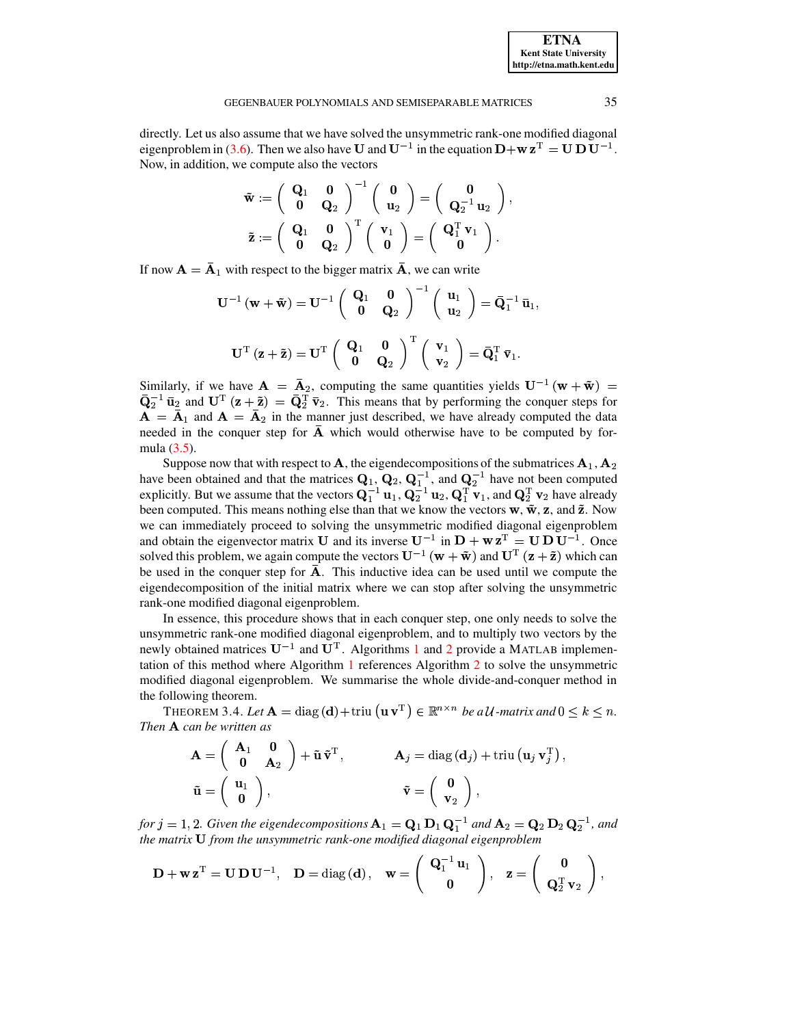directly. Let us also assume that we have solved the unsymmetric rank-one modified diagonal eigenproblem in [\(3.6\)](#page-8-1). Then we also have **U** and  $U^{-1}$  in the equation  $D + w z^T = U D U^{-1}$ . Now, in addition, we compute also the vectors

$$
\begin{aligned} \mathbf{\tilde{w}} &:= \left(\begin{array}{cc} \mathbf{Q}_1 & \mathbf{0} \\ \mathbf{0} & \mathbf{Q}_2 \end{array}\right)^{-1} \left(\begin{array}{c} \mathbf{0} \\ \mathbf{u}_2 \end{array}\right) = \left(\begin{array}{c} \mathbf{0} \\ \mathbf{Q}_2^{-1} \, \mathbf{u}_2 \end{array}\right), \\ \mathbf{\tilde{z}} &:= \left(\begin{array}{cc} \mathbf{Q}_1 & \mathbf{0} \\ \mathbf{0} & \mathbf{Q}_2 \end{array}\right)^{\text{T}} \left(\begin{array}{c} \mathbf{v}_1 \\ \mathbf{0} \end{array}\right) = \left(\begin{array}{c} \mathbf{Q}_1^{\text{T}} \, \mathbf{v}_1 \\ \mathbf{0} \end{array}\right). \end{aligned}
$$

If now  ${\bf A} = \bar{\bf A}_1$  with respect to the bigger matrix  $\bar{\bf A}$ , we can write

$$
\begin{aligned} \mathbf{U}^{-1}\left(\mathbf{w}+\tilde{\mathbf{w}}\right)&=\mathbf{U}^{-1}\left(\begin{array}{cc} \mathbf{Q}_1 & \mathbf{0} \\ \mathbf{0} & \mathbf{Q}_2 \end{array}\right)^{-1}\left(\begin{array}{c} \mathbf{u}_1 \\ \mathbf{u}_2 \end{array}\right)=\bar{\mathbf{Q}}_1^{-1}\bar{\mathbf{u}}_1,\\ \mathbf{U}^{\mathrm{T}}\left(\mathbf{z}+\tilde{\mathbf{z}}\right)&=\mathbf{U}^{\mathrm{T}}\left(\begin{array}{c} \mathbf{Q}_1 & \mathbf{0} \\ \mathbf{0} & \mathbf{Q}_2 \end{array}\right)^{\mathrm{T}}\left(\begin{array}{c} \mathbf{v}_1 \\ \mathbf{v}_2 \end{array}\right)=\bar{\mathbf{Q}}_1^{\mathrm{T}}\bar{\mathbf{v}}_1. \end{aligned}
$$

Similarly, if we have  ${\bf A} = {\bf \bar{A}}_2$ , computing the same quantities yields  ${\bf U}^{-1}({\bf w} + {\bf \tilde{w}}) =$  $\bar{Q}_2^{-1}$   $\bar{u}_2$  and  $U^T(z+\tilde{z}) = \bar{Q}_2^T \bar{v}_2$ . This means that by performing the conquer steps for  ${\bf A} = {\bf A}_1$  and  ${\bf A} = {\bf A}_2$  in the manner just described, we have already computed the data needed in the conquer step for  $\overline{A}$  which would otherwise have to be computed by formula [\(3.5\)](#page-8-0).

Suppose now that with respect to **A**, the eigendecompositions of the submatrices  $\mathbf{A}_1, \mathbf{A}_2$ have been obtained and that the matrices  $\mathbf{Q}_1, \mathbf{Q}_2, \mathbf{Q}_1^{-1}$ , and  $\mathbf{Q}_2^{-1}$  have not been computed explicitly. But we assume that the vectors  $Q_1^{-1}u_1$ ,  $Q_2^{-1}u_2$ ,  $Q_1^{T}v_1$ , and  $Q_2^{T}v_2$  have already been computed. This means nothing else than that we know the vectors  $\bf{w}, \tilde{\bf{w}}, \bf{z}$ , and  $\tilde{\bf{z}}$ . Now we can immediately proceed to solving the unsymmetric modified diagonal eigenproblem and obtain the eigenvector matrix **U** and its inverse  $U^{-1}$  in  $D + wz^{T} = U D U^{-1}$ . Once solved this problem, we again compute the vectors  $\mathbf{U}^{-1}(\mathbf{w}+\tilde{\mathbf{w}})$  and  $\mathbf{U}^{\mathrm{T}}(\mathbf{z}+\tilde{\mathbf{z}})$  which can be used in the conquer step for  $\overline{A}$ . This inductive idea can be used until we compute the eigendecomposition of the initial matrix where we can stop after solving the unsymmetric rank-one modified diagonal eigenproblem.

In essence, this procedure shows that in each conquer step, one only needs to solve the unsymmetric rank-one modified diagonal eigenproblem, and to multiply two vectors by the newly obtained matrices  $U^{-1}$  $U^{-1}$  $U^{-1}$  and  $U^{T}$ . Algorithms 1 and [2](#page-15-1) provide a MATLAB implementation of this method where Algorithm [1](#page-14-0) references Algorithm [2](#page-15-1) to solve the unsymmetric modified diagonal eigenproblem. We summarise the whole divide-and-conquer method in the following theorem.

<span id="page-9-0"></span>THEOREM 3.4. Let  $\mathbf{A} = \text{diag}(\mathbf{d}) + \text{triu}(\mathbf{u}\,\mathbf{v}^T) \in \mathbb{R}^{n \times n}$  be a U-matrix and  $0 \leq k \leq n$ . *Then* } *can be written as*

$$
\mathbf{A} = \begin{pmatrix} \mathbf{A}_1 & \mathbf{0} \\ \mathbf{0} & \mathbf{A}_2 \end{pmatrix} + \tilde{\mathbf{u}} \, \tilde{\mathbf{v}}^{\mathrm{T}}, \qquad \qquad \mathbf{A}_j = \text{diag}(\mathbf{d}_j) + \text{triu} (\mathbf{u}_j \, \mathbf{v}_j^{\mathrm{T}}),
$$

$$
\tilde{\mathbf{u}} = \begin{pmatrix} \mathbf{u}_1 \\ \mathbf{0} \end{pmatrix}, \qquad \qquad \tilde{\mathbf{v}} = \begin{pmatrix} \mathbf{0} \\ \mathbf{v}_2 \end{pmatrix},
$$

*for*  $j = 1, 2$ . Given the eigendecompositions  $\mathbf{A}_1 = \mathbf{Q}_1 \mathbf{D}_1 \mathbf{Q}_1^{-1}$  and  $\mathbf{A}_2 = \mathbf{Q}_2 \mathbf{D}_2 \mathbf{Q}_2^{-1}$ , and *the matrix* <sup>Â</sup> *from the unsymmetric rank-one modified diagonal eigenproblem*

$$
\mathbf{D} + \mathbf{w} \mathbf{z}^{\mathrm{T}} = \mathbf{U} \mathbf{D} \mathbf{U}^{-1}, \quad \mathbf{D} = \mathrm{diag}(\mathbf{d}), \quad \mathbf{w} = \left(\begin{array}{c} \mathbf{Q}_1^{-1} \mathbf{u}_1 \\ \mathbf{0} \end{array}\right), \quad \mathbf{z} = \left(\begin{array}{c} \mathbf{0} \\ \mathbf{Q}_2^{\mathrm{T}} \mathbf{v}_2 \end{array}\right),
$$

**ETNA Kent State University http://etna.math.kent.edu**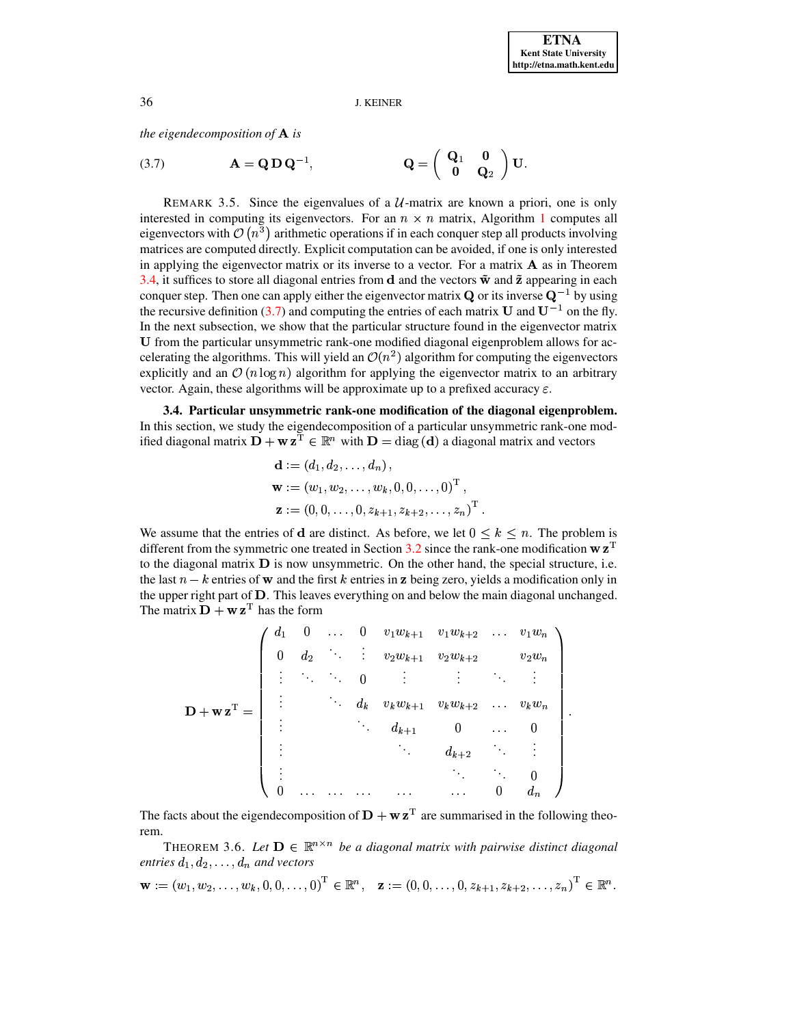the eigendecomposition of  $A$  is

<span id="page-10-0"></span>(3.7) 
$$
\mathbf{A} = \mathbf{Q} \mathbf{D} \mathbf{Q}^{-1}, \qquad \mathbf{Q} = \begin{pmatrix} \mathbf{Q}_1 & \mathbf{0} \\ \mathbf{0} & \mathbf{Q}_2 \end{pmatrix} \mathbf{U}.
$$

REMARK 3.5. Since the eigenvalues of a  $U$ -matrix are known a priori, one is only interested in computing its eigenvectors. For an  $n \times n$  matrix, Algorithm 1 computes all eigenvectors with  $\mathcal{O}(n^3)$  arithmetic operations if in each conquer step all products involving matrices are computed directly. Explicit computation can be avoided, if one is only interested in applying the eigenvector matrix or its inverse to a vector. For a matrix  $\bf{A}$  as in Theorem 3.4, it suffices to store all diagonal entries from d and the vectors  $\tilde{\mathbf{w}}$  and  $\tilde{\mathbf{z}}$  appearing in each conquer step. Then one can apply either the eigenvector matrix  $Q$  or its inverse  $Q^{-1}$  by using the recursive definition (3.7) and computing the entries of each matrix U and  $U^{-1}$  on the fly. In the next subsection, we show that the particular structure found in the eigenvector matrix U from the particular unsymmetric rank-one modified diagonal eigenproblem allows for accelerating the algorithms. This will yield an  $\mathcal{O}(n^2)$  algorithm for computing the eigenvectors explicitly and an  $\mathcal{O}(n \log n)$  algorithm for applying the eigenvector matrix to an arbitrary vector. Again, these algorithms will be approximate up to a prefixed accuracy  $\varepsilon$ .

3.4. Particular unsymmetric rank-one modification of the diagonal eigenproblem. In this section, we study the eigendecomposition of a particular unsymmetric rank-one modified diagonal matrix  $\mathbf{D} + \mathbf{w} \mathbf{z}^{\mathrm{T}} \in \mathbb{R}^n$  with  $\mathbf{D} = \text{diag}(\mathbf{d})$  a diagonal matrix and vectors

$$
\mathbf{d} := (d_1, d_2, \dots, d_n),
$$
  

$$
\mathbf{w} := (w_1, w_2, \dots, w_k, 0, 0, \dots, 0)^{\mathrm{T}},
$$
  

$$
\mathbf{z} := (0, 0, \dots, 0, z_{k+1}, z_{k+2}, \dots, z_n)^{\mathrm{T}}.
$$

We assume that the entries of d are distinct. As before, we let  $0 \leq k \leq n$ . The problem is different from the symmetric one treated in Section 3.2 since the rank-one modification  $w z<sup>T</sup>$ to the diagonal matrix  $\bf{D}$  is now unsymmetric. On the other hand, the special structure, i.e. the last  $n - k$  entries of w and the first k entries in z being zero, yields a modification only in the upper right part of D. This leaves everything on and below the main diagonal unchanged. The matrix  $\mathbf{D} + \mathbf{w} \mathbf{z}^{\mathrm{T}}$  has the form

$$
\mathbf{D} + \mathbf{w} \mathbf{z}^{\mathrm{T}} = \begin{pmatrix} d_1 & 0 & \dots & 0 & v_1 w_{k+1} & v_1 w_{k+2} & \dots & v_1 w_n \\ 0 & d_2 & \ddots & \vdots & v_2 w_{k+1} & v_2 w_{k+2} & v_2 w_n \\ \vdots & \ddots & \ddots & 0 & \vdots & \vdots & \ddots & \vdots \\ \vdots & & \ddots & d_k & v_k w_{k+1} & v_k w_{k+2} & \dots & v_k w_n \\ \vdots & & \ddots & d_{k+1} & 0 & \dots & 0 \\ \vdots & & & \ddots & & d_{k+2} & \ddots & \vdots \\ 0 & \dots & \dots & \dots & \dots & 0 & d_n \end{pmatrix}
$$

The facts about the eigendecomposition of  $\mathbf{D} + \mathbf{w} \mathbf{z}^T$  are summarised in the following theorem.

THEOREM 3.6. Let  $\mathbf{D} \in \mathbb{R}^{n \times n}$  be a diagonal matrix with pairwise distinct diagonal entries  $d_1, d_2, \ldots, d_n$  and vectors

 $\mathbf{w} := (w_1, w_2, \dots, w_k, 0, 0, \dots, 0)^{\mathrm{T}} \in \mathbb{R}^n, \quad \mathbf{z} := (0, 0, \dots, 0, z_{k+1}, z_{k+2}, \dots, z_n)^{\mathrm{T}} \in \mathbb{R}^n.$ 

36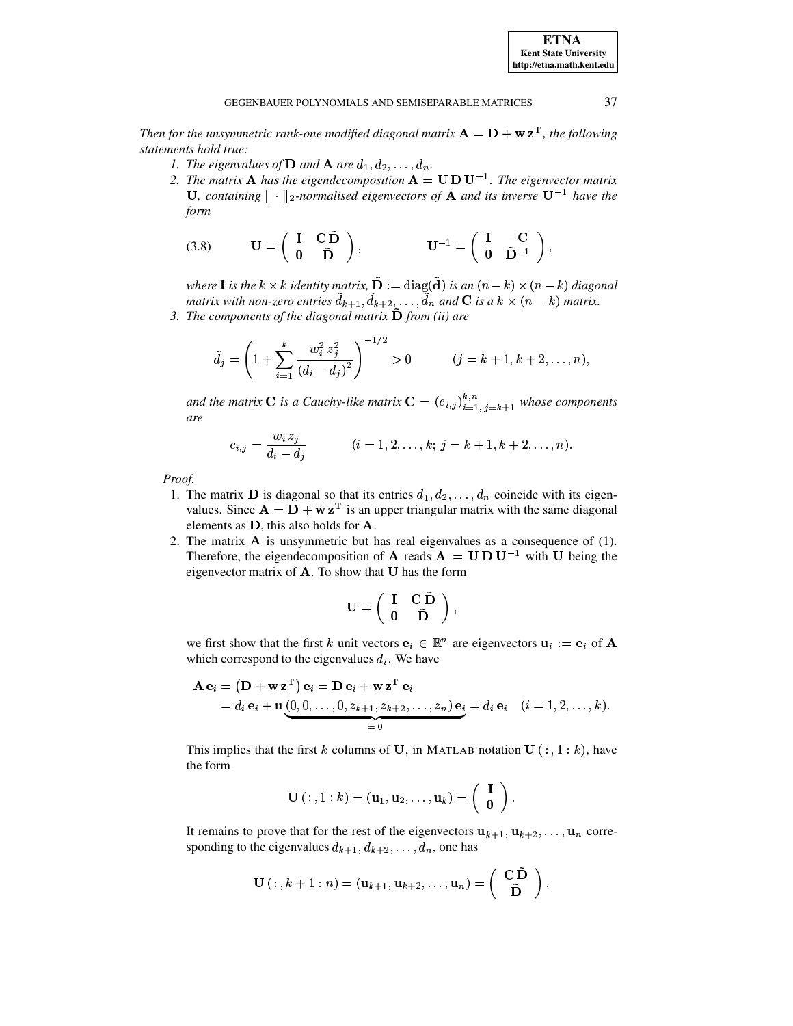Then for the unsymmetric rank-one modified diagonal matrix  $A = D + w z^T$ , the following statements hold true:

- 1. The eigenvalues of **D** and **A** are  $d_1, d_2, \ldots, d_n$ .
- 2. The matrix **A** has the eigendecomposition  $A = U D U^{-1}$ . The eigenvector matrix U, containing  $\|\cdot\|_2$ -normalised eigenvectors of **A** and its inverse  $U^{-1}$  have the form

<span id="page-11-0"></span>(3.8) 
$$
\mathbf{U} = \begin{pmatrix} \mathbf{I} & \mathbf{C} \tilde{\mathbf{D}} \\ \mathbf{0} & \tilde{\mathbf{D}} \end{pmatrix}, \qquad \mathbf{U}^{-1} = \begin{pmatrix} \mathbf{I} & -\mathbf{C} \\ \mathbf{0} & \tilde{\mathbf{D}}^{-1} \end{pmatrix},
$$

where **I** is the  $k \times k$  identity matrix,  $\tilde{\mathbf{D}} := \text{diag}(\tilde{\mathbf{d}})$  is an  $(n - k) \times (n - k)$  diagonal matrix with non-zero entries  $d_{k+1}, d_{k+2}, \ldots, d_n$  and **C** is a  $k \times (n - k)$  matrix.

3. The components of the diagonal matrix  $\tilde{\mathbf{D}}$  from (ii) are

$$
\tilde{d}_j = \left(1 + \sum_{i=1}^k \frac{w_i^2 z_j^2}{(d_i - d_j)^2}\right)^{-1/2} > 0 \qquad (j = k+1, k+2, \dots, n),
$$

and the matrix C is a Cauchy-like matrix  $C = (c_{i,j})_{i=1, j=k+1}^{k,n}$  whose components are

$$
c_{i,j} = \frac{w_i \, z_j}{d_i - d_j} \qquad (i = 1, 2, \dots, k; \, j = k + 1, k + 2, \dots, n).
$$

Proof.

- 1. The matrix **D** is diagonal so that its entries  $d_1, d_2, \ldots, d_n$  coincide with its eigenvalues. Since  $A = D + w z^T$  is an upper triangular matrix with the same diagonal elements as  $D$ , this also holds for  $A$ .
- 2. The matrix  $A$  is unsymmetric but has real eigenvalues as a consequence of  $(1)$ . Therefore, the eigendecomposition of **A** reads  $A = U D U^{-1}$  with U being the eigenvector matrix of  $A$ . To show that  $U$  has the form

$$
\mathbf{U} = \left( \begin{array}{cc} \mathbf{I} & \mathbf{C} \, \mathbf{\tilde{D}} \\ \mathbf{0} & \mathbf{\tilde{D}} \end{array} \right),
$$

we first show that the first k unit vectors  $e_i \in \mathbb{R}^n$  are eigenvectors  $u_i := e_i$  of A which correspond to the eigenvalues  $d_i$ . We have

$$
\mathbf{A} \mathbf{e}_i = (\mathbf{D} + \mathbf{w} \mathbf{z}^{\mathrm{T}}) \mathbf{e}_i = \mathbf{D} \mathbf{e}_i + \mathbf{w} \mathbf{z}^{\mathrm{T}} \mathbf{e}_i
$$
  
=  $d_i \mathbf{e}_i + \mathbf{u} \underbrace{(0,0,\ldots,0,z_{k+1},z_{k+2},\ldots,z_n)}_{=0} \mathbf{e}_i = d_i \mathbf{e}_i \quad (i = 1,2,\ldots,k)$ 

This implies that the first k columns of U, in MATLAB notation U  $(:, 1:k)$ , have the form

$$
\mathbf{U}(\,\colon,1:k)=(\mathbf{u}_1,\mathbf{u}_2,\ldots,\mathbf{u}_k)=\left(\begin{array}{c}\mathbf{I}\\ \mathbf{0}\end{array}\right).
$$

It remains to prove that for the rest of the eigenvectors  $\mathbf{u}_{k+1}, \mathbf{u}_{k+2}, \dots, \mathbf{u}_n$  corresponding to the eigenvalues  $d_{k+1}, d_{k+2}, \ldots, d_n$ , one has

$$
\mathbf{U}(:,k+1:n) = (\mathbf{u}_{k+1}, \mathbf{u}_{k+2}, \dots, \mathbf{u}_n) = \begin{pmatrix} \mathbf{C} \mathbf{D} \\ \mathbf{\tilde{D}} \end{pmatrix}
$$

37

**ETNA Kent State University** http://etna.math.kent.edu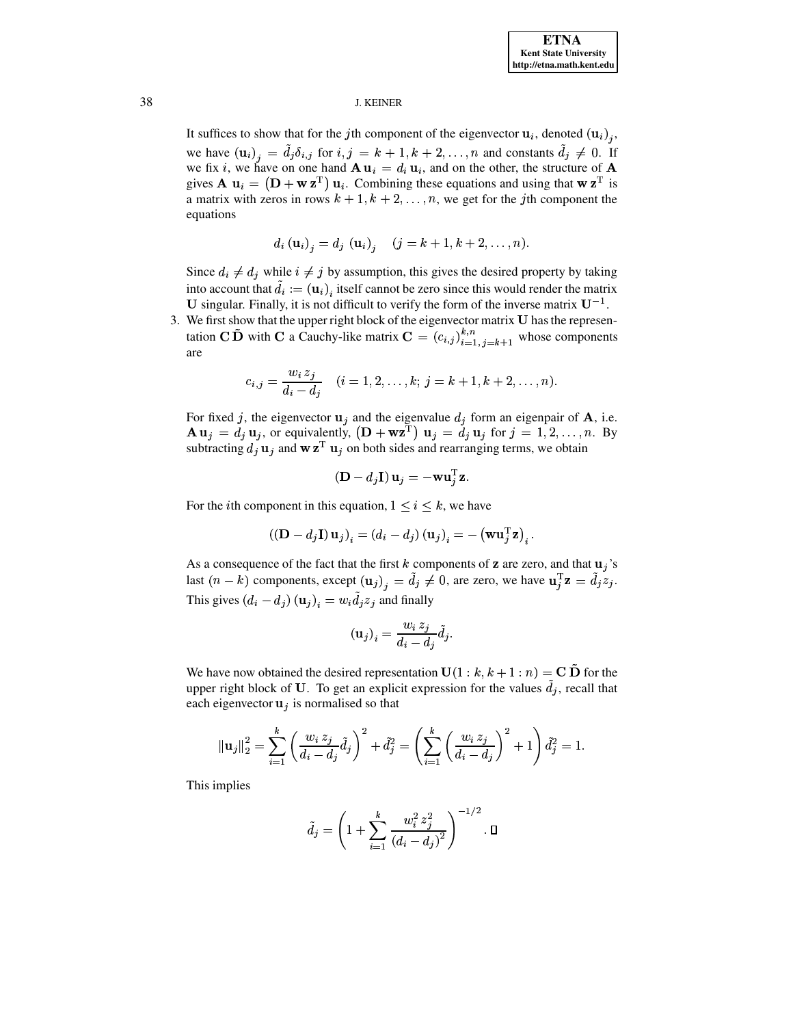It suffices to show that for the jth component of the eigenvector  $\mathbf{u}_i$ , denoted  $(\mathbf{u}_i)_i$ , we have  $(\mathbf{u}_i)_j = \tilde{d}_j \delta_{i,j}$  for  $i, j = k + 1, k + 2, ..., n$  and constants  $\tilde{d}_j \neq 0$ . If we fix i, we have on one hand  $\mathbf{A} \mathbf{u}_i = d_i \mathbf{u}_i$ , and on the other, the structure of  $\mathbf{A}$ gives  $\mathbf{A} \mathbf{u}_i = (\mathbf{D} + \mathbf{w} \mathbf{z}^T) \mathbf{u}_i$ . Combining these equations and using that  $\mathbf{w} \mathbf{z}^T$  is a matrix with zeros in rows  $k + 1, k + 2, \ldots, n$ , we get for the jth component the equations

$$
d_i(\mathbf{u}_i)_j = d_j(\mathbf{u}_i)_j
$$
  $(j = k + 1, k + 2, ..., n)$ 

Since  $d_i \neq d_j$  while  $i \neq j$  by assumption, this gives the desired property by taking into account that  $\tilde{d}_i := (\mathbf{u}_i)$ , itself cannot be zero since this would render the matrix U singular. Finally, it is not difficult to verify the form of the inverse matrix  $U^{-1}$ .

3. We first show that the upper right block of the eigenvector matrix U has the representation C  $\tilde{\mathbf{D}}$  with C a Cauchy-like matrix  $\mathbf{C} = (c_{i,j})_{i=1, j=k+1}^{k,n}$  whose components are

$$
c_{i,j} = \frac{w_i z_j}{d_i - d_j} \quad (i = 1, 2, \dots, k; j = k + 1, k + 2, \dots, n).
$$

For fixed j, the eigenvector  $\mathbf{u}_j$  and the eigenvalue  $d_j$  form an eigenpair of **A**, i.e.  $\mathbf{A} \mathbf{u}_j = d_j \mathbf{u}_j$ , or equivalently,  $(\mathbf{D} + \mathbf{w} \mathbf{z}^T) \mathbf{u}_j = d_j \mathbf{u}_j$  for  $j = 1, 2, ..., n$ . By subtracting  $d_j \mathbf{u}_j$  and  $\mathbf{w} \mathbf{z}^T \mathbf{u}_j$  on both sides and rearranging terms, we obtain

$$
(\mathbf{D} - d_j \mathbf{I}) \mathbf{u}_j = -\mathbf{w} \mathbf{u}_j^{\mathrm{T}} \mathbf{z}.
$$

For the *i*th component in this equation,  $1 \le i \le k$ , we have

$$
\left((\mathbf{D}-d_j\mathbf{I})\,\mathbf{u}_j\right)_i = \left(d_i - d_j\right)\left(\mathbf{u}_j\right)_i = -\left(\mathbf{w}\mathbf{u}_j^{\mathrm{T}}\mathbf{z}\right)_i
$$

As a consequence of the fact that the first k components of z are zero, and that  $u_i$ 's last  $(n - k)$  components, except  $(u_j)_i = \tilde{d}_j \neq 0$ , are zero, we have  $u_j^T \mathbf{z} = \tilde{d}_j z_j$ . This gives  $(d_i - d_j)(\mathbf{u}_j)_i = w_i \tilde{d}_j z_j$  and finally

$$
\left(\mathbf{u}_j\right)_i = \frac{w_i \, z_j}{d_i - d_j} \tilde{d}_j.
$$

We have now obtained the desired representation  $U(1 : k, k + 1 : n) = C \tilde{D}$  for the upper right block of U. To get an explicit expression for the values  $d_i$ , recall that each eigenvector  $\mathbf{u}_i$  is normalised so that

$$
\|\mathbf{u}_{j}\|_{2}^{2} = \sum_{i=1}^{k} \left(\frac{w_{i} z_{j}}{d_{i} - d_{j}} \tilde{d}_{j}\right)^{2} + \tilde{d}_{j}^{2} = \left(\sum_{i=1}^{k} \left(\frac{w_{i} z_{j}}{d_{i} - d_{j}}\right)^{2} + 1\right) \tilde{d}_{j}^{2} = 1.
$$

This implies

$$
\tilde{d}_j = \left(1 + \sum_{i=1}^k \frac{w_i^2 z_j^2}{(d_i - d_j)^2}\right)^{-1/2} \cdot \Box
$$

38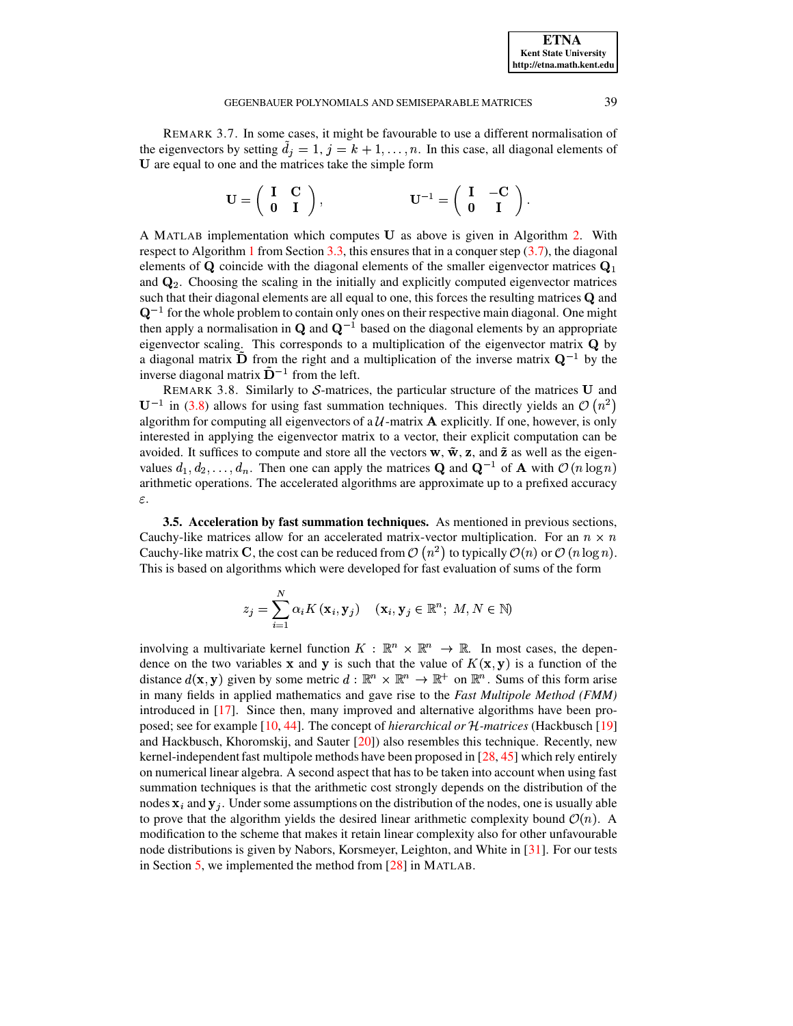<span id="page-13-1"></span>REMARK 3.7. In some cases, it might be favourable to use a different normalisation of the eigenvectors by setting  $\tilde{d}_j = 1$ ,  $j = k + 1, \ldots, n$ . In this case, all diagonal elements of U are equal to one and the matrices take the simple form

$$
\mathbf{U} = \left( \begin{array}{cc} \mathbf{I} & \mathbf{C} \\ \mathbf{0} & \mathbf{I} \end{array} \right), \qquad \qquad \mathbf{U}^{-1} = \left( \begin{array}{cc} \mathbf{I} & -\mathbf{C} \\ \mathbf{0} & \mathbf{I} \end{array} \right).
$$

A MATLAB implementation which computes U as above is given in Algorithm 2. With respect to Algorithm 1 from Section 3.3, this ensures that in a conquer step  $(3.7)$ , the diagonal elements of Q coincide with the diagonal elements of the smaller eigenvector matrices  $Q_1$ and  $\mathbf{Q}_2$ . Choosing the scaling in the initially and explicitly computed eigenvector matrices such that their diagonal elements are all equal to one, this forces the resulting matrices Q and  $\mathbf{Q}^{-1}$  for the whole problem to contain only ones on their respective main diagonal. One might then apply a normalisation in Q and  $Q^{-1}$  based on the diagonal elements by an appropriate eigenvector scaling. This corresponds to a multiplication of the eigenvector matrix  $Q$  by a diagonal matrix  $\hat{\mathbf{D}}$  from the right and a multiplication of the inverse matrix  $\mathbf{Q}^{-1}$  by the inverse diagonal matrix  $\tilde{\mathbf{D}}^{-1}$  from the left.

REMARK 3.8. Similarly to  $S$ -matrices, the particular structure of the matrices U and  $U^{-1}$  in (3.8) allows for using fast summation techniques. This directly yields an  $\mathcal{O}(n^2)$ algorithm for computing all eigenvectors of a  $U$ -matrix  $A$  explicitly. If one, however, is only interested in applying the eigenvector matrix to a vector, their explicit computation can be avoided. It suffices to compute and store all the vectors  $\bf{w}, \tilde{\bf{w}}, \bf{z}$ , and  $\tilde{\bf{z}}$  as well as the eigenvalues  $d_1, d_2, \ldots, d_n$ . Then one can apply the matrices **Q** and **Q**<sup>-1</sup> of **A** with  $\mathcal{O}(n \log n)$ arithmetic operations. The accelerated algorithms are approximate up to a prefixed accuracy  $\varepsilon.$ 

<span id="page-13-0"></span>**3.5. Acceleration by fast summation techniques.** As mentioned in previous sections, Cauchy-like matrices allow for an accelerated matrix-vector multiplication. For an  $n \times n$ Cauchy-like matrix C, the cost can be reduced from  $\mathcal{O}(n^2)$  to typically  $\mathcal{O}(n)$  or  $\mathcal{O}(n \log n)$ . This is based on algorithms which were developed for fast evaluation of sums of the form

$$
z_j = \sum_{i=1}^{N} \alpha_i K(\mathbf{x}_i, \mathbf{y}_j) \quad (\mathbf{x}_i, \mathbf{y}_j \in \mathbb{R}^n; M, N \in \mathbb{N})
$$

involving a multivariate kernel function  $K : \mathbb{R}^n \times \mathbb{R}^n \to \mathbb{R}$ . In most cases, the dependence on the two variables x and y is such that the value of  $K(x, y)$  is a function of the distance  $d(\mathbf{x}, \mathbf{y})$  given by some metric  $d : \mathbb{R}^n \times \mathbb{R}^n \to \mathbb{R}^+$  on  $\mathbb{R}^n$ . Sums of this form arise in many fields in applied mathematics and gave rise to the Fast Multipole Method (FMM) introduced in  $[17]$ . Since then, many improved and alternative algorithms have been proposed; see for example  $[10, 44]$ . The concept of *hierarchical or H-matrices* (Hackbusch [19] and Hackbusch, Khoromskij, and Sauter  $[20]$ ) also resembles this technique. Recently, new kernel-independent fast multipole methods have been proposed in  $[28, 45]$  which rely entirely on numerical linear algebra. A second aspect that has to be taken into account when using fast summation techniques is that the arithmetic cost strongly depends on the distribution of the nodes  $x_i$  and  $y_j$ . Under some assumptions on the distribution of the nodes, one is usually able to prove that the algorithm yields the desired linear arithmetic complexity bound  $\mathcal{O}(n)$ . A modification to the scheme that makes it retain linear complexity also for other unfavourable node distributions is given by Nabors, Korsmeyer, Leighton, and White in [31]. For our tests in Section 5, we implemented the method from  $[28]$  in MATLAB.

39

**ETNA Kent State University** http://etna.math.kent.edu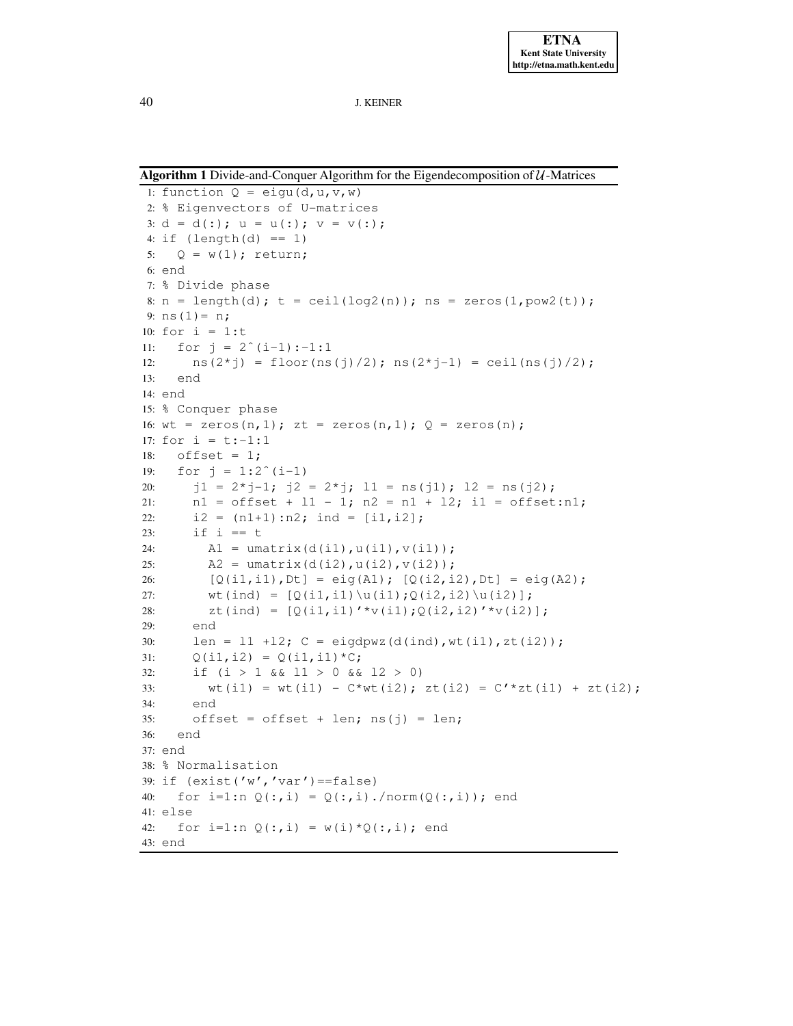<span id="page-14-0"></span>**Algorithm 1** Divide-and-Conquer Algorithm for the Eigendecomposition of  $U$ -Matrices

```
1: function Q = eig(u, u, v, w)2: % Eigenvectors of U-matrices
3: d = d(:); u = u(:); v = v(:);4: if (lenqth(d) == 1)5: Q = w(1); return;
6: end
7: % Divide phase
8: n = length(d); t = ceil(log2(n)); ns = zeros(1, pow2(t));
9: ns(1) = n;10: for i = 1:t11: for j = 2^{(i-1)}:-1:112: ns(2 * j) = floor(ns(j)/2); ns(2 * j-1) = ceil(ns(j)/2);
13: end
14: end
15: % Conquer phase
16: wt = zeros(n, 1); zt = zeros(n, 1); Q = zeros(n);
17: for i = t:-1:118: offset = 1;
19: for j = 1:2^{(i-1)}20: j1 = 2 \times j - 1; j2 = 2 \times j; 11 = ns(j1); 12 = ns(j2);21: nl = \text{offset} + l1 - 1; n2 = n1 + l2; i1 = \text{offset:n1};22: i2 = (n1+1):n2; \text{ind} = [i1,i2];23: if i == t
24: \text{Al} = \text{umatrix}(d(i1), u(i1), v(i1));25: A2 = \text{umatrix}(d(i2), u(i2), v(i2));26: [Q(i1, i1), Dt] = eig(A1); [Q(i2, i2), Dt] = eig(A2);27: \text{wt}(ind) = [0(i1, i1)\u(i1);0(i2, i2)\u(i2)];
28: zt(ind) = [Q(i1, i1)' * v(i1); Q(i2, i2)' * v(i2)];29: end
30: len = 11 + 12; C = eigdpwz(d(ind),wt(il),zt(il));
31: Q(i1, i2) = Q(i1, i1) * C;32: if (i > 1 \& 1 > 0 \& 12 > 0)33: wt(i1) = wt(i1) - C*wt(i2); zt(i2) = C'*zt(i1) + zt(i2);
34: end
35: offset = offset + len; ns(j) = len;
36: end
37: end
38: % Normalisation
39: if (exist('w', 'var') == false)40: for i=1:n Q(:,i) = Q(:,i)./norm(Q(:,i)); end
41: else
42: for i=1:n Q(:,i) = w(i) * Q(:,i); end
43: end
```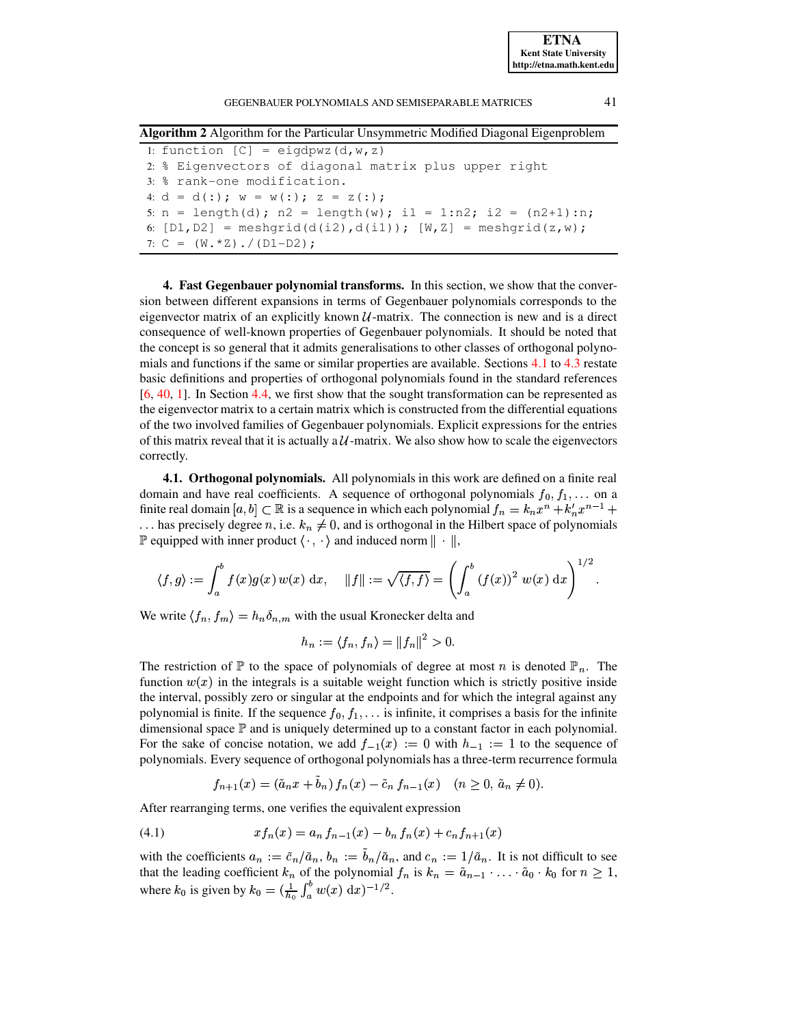**ETNA Kent State University http://etna.math.kent.edu**

#### GEGENBAUER POLYNOMIALS AND SEMISEPARABLE MATRICES 41

<span id="page-15-1"></span>**Algorithm 2** Algorithm for the Particular Unsymmetric Modified Diagonal Eigenproblem

1: function  $[C] = eigdpwz(d,w,z)$ 2: % Eigenvectors of diagonal matrix plus upper right 3: % rank-one modification. 4:  $d = d(:); w = w(:); z = z(:);$ 5:  $n = length(d)$ ;  $n2 = length(w)$ ;  $i1 = 1:n2$ ;  $i2 = (n2+1) : n;$ 6:  $[D1, D2]$  = meshgrid(d(i2),d(i1));  $[W, Z]$  = meshgrid(z,w); 7:  $C = (W \cdot *Z) \cdot / (D1-D2)$ ;

<span id="page-15-0"></span>**4. Fast Gegenbauer polynomial transforms.** In this section, we show that the conversion between different expansions in terms of Gegenbauer polynomials corresponds to the eigenvector matrix of an explicitly known  $U$ -matrix. The connection is new and is a direct consequence of well-known properties of Gegenbauer polynomials. It should be noted that the concept is so general that it admits generalisations to other classes of orthogonal polynomials and functions if the same or similar properties are available. Sections [4.1](#page-15-2) to [4.3](#page-16-0) restate basic definitions and properties of orthogonal polynomials found in the standard references [\[6,](#page-26-1) [40,](#page-27-3) [1\]](#page-26-14). In Section [4.4,](#page-17-0) we first show that the sought transformation can be represented as the eigenvector matrix to a certain matrix which is constructed from the differential equations of the two involved families of Gegenbauer polynomials. Explicit expressions for the entries of this matrix reveal that it is actually a  $U$ -matrix. We also show how to scale the eigenvectors correctly.

<span id="page-15-2"></span>**4.1. Orthogonal polynomials.** All polynomials in this work are defined on a finite real domain and have real coefficients. A sequence of orthogonal polynomials  $f_0, f_1, \ldots$  on a finite real domain  $[a, b] \subset \mathbb{R}$  is a sequence in which each polynomial  $f_n = k_n x^n + k'_n x^{n-1} +$ ... has precisely degree n, i.e.  $k_n \neq 0$ , and is orthogonal in the Hilbert space of polynomials  $\mathbb P$  equipped with inner product  $\langle \cdot, \cdot \rangle$  and induced norm  $\|\cdot\|$ ,

$$
\langle f,g\rangle:=\int_a^b f(x)g(x)\,w(x)\;\mathrm{d} x,\quad \|f\|:=\sqrt{\langle f,f\rangle}=\left(\int_a^b \left(f(x)\right)^2\,w(x)\;\mathrm{d} x\right)^{1/2}.
$$

We write  $\langle f_n, f_m \rangle = h_n \delta_{n,m}$  with the usual Kronecker delta and

$$
h_n := \langle f_n, f_n \rangle = ||f_n||^2 > 0.
$$

The restriction of  $\mathbb P$  to the space of polynomials of degree at most n is denoted  $\mathbb P_n$ . The function  $w(x)$  in the integrals is a suitable weight function which is strictly positive inside the interval, possibly zero or singular at the endpoints and for which the integral against any polynomial is finite. If the sequence  $f_0, f_1, \ldots$  is infinite, it comprises a basis for the infinite dimensional space  $\mathbb P$  and is uniquely determined up to a constant factor in each polynomial. For the sake of concise notation, we add  $f_{-1}(x) := 0$  with  $h_{-1} := 1$  to the sequence of polynomials. Every sequence of orthogonal polynomials has a three-term recurrence formula

<span id="page-15-3"></span>
$$
f_{n+1}(x) = (\tilde{a}_n x + \tilde{b}_n) f_n(x) - \tilde{c}_n f_{n-1}(x) \quad (n \ge 0, \tilde{a}_n \ne 0).
$$

After rearranging terms, one verifies the equivalent expression

(4.1) 
$$
xf_n(x) = a_n f_{n-1}(x) - b_n f_n(x) + c_n f_{n+1}(x)
$$

with the coefficients  $a_n := \tilde{c}_n / \tilde{a}_n$ ,  $b_n := \tilde{b}_n / \tilde{a}_n$ , and  $c_n := 1 / \tilde{a}_n$ . It is not difficult to see that the leading coefficient  $k_n$  of the polynomial  $f_n$  is  $k_n = \tilde{a}_{n-1} \cdot \ldots \cdot \tilde{a}_0 \cdot k_0$  for  $n \ge 1$ , where  $k_0$  is given by  $k_0 = (\frac{1}{b_0} \int_a^b w(x) \, dx)^{-1/2}$ .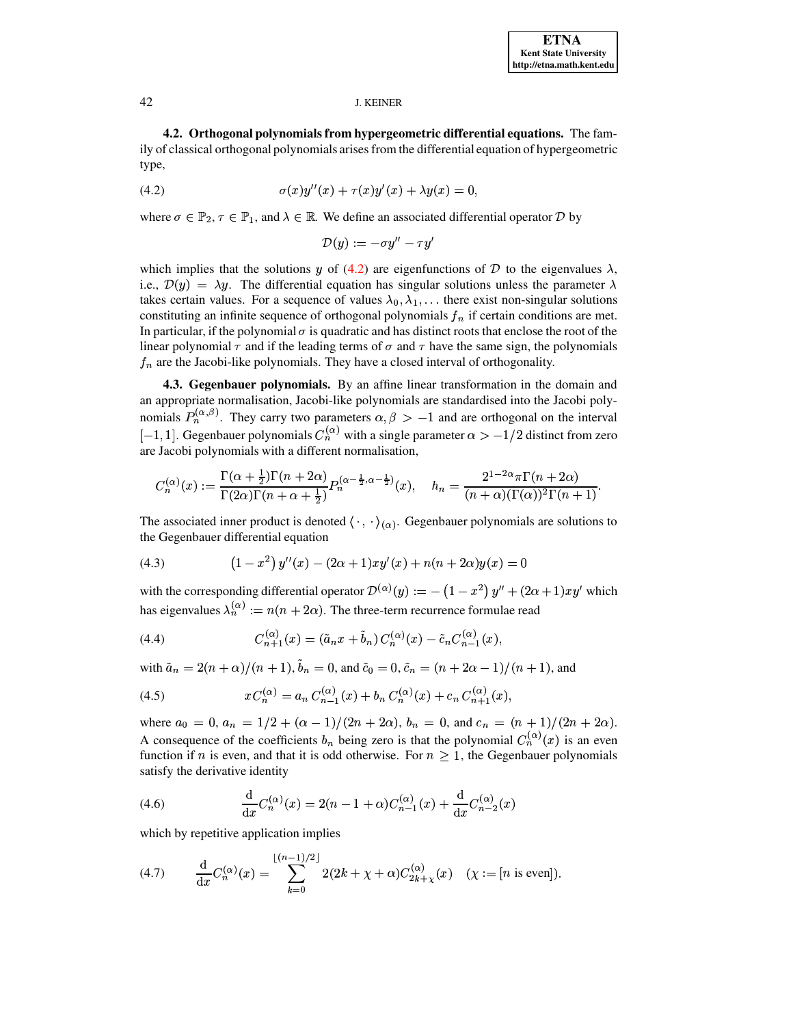<span id="page-16-1"></span>4.2. Orthogonal polynomials from hypergeometric differential equations. The family of classical orthogonal polynomials arises from the differential equation of hypergeometric type,

$$
\sigma(x)y''(x) + \tau(x)y'(x) + \lambda y(x) = 0,
$$

where  $\sigma \in \mathbb{P}_2$ ,  $\tau \in \mathbb{P}_1$ , and  $\lambda \in \mathbb{R}$ . We define an associated differential operator D by

$$
\mathcal{D}(y) := -\sigma y'' - \tau y'
$$

which implies that the solutions y of (4.2) are eigenfunctions of D to the eigenvalues  $\lambda$ , i.e.,  $\mathcal{D}(y) = \lambda y$ . The differential equation has singular solutions unless the parameter  $\lambda$ takes certain values. For a sequence of values  $\lambda_0, \lambda_1, \ldots$  there exist non-singular solutions constituting an infinite sequence of orthogonal polynomials  $f_n$  if certain conditions are met. In particular, if the polynomial  $\sigma$  is quadratic and has distinct roots that enclose the root of the linear polynomial  $\tau$  and if the leading terms of  $\sigma$  and  $\tau$  have the same sign, the polynomials  $f_n$  are the Jacobi-like polynomials. They have a closed interval of orthogonality.

<span id="page-16-0"></span>4.3. Gegenbauer polynomials. By an affine linear transformation in the domain and an appropriate normalisation, Jacobi-like polynomials are standardised into the Jacobi polynomials  $P_n^{(\alpha,\beta)}$ . They carry two parameters  $\alpha, \beta > -1$  and are orthogonal on the interval  $[-1, 1]$ . Gegenbauer polynomials  $C_n^{(\alpha)}$  with a single parameter  $\alpha > -1/2$  distinct from zero are Jacobi polynomials with a different normalisation,

$$
C_n^{(\alpha)}(x) := \frac{\Gamma(\alpha + \frac{1}{2})\Gamma(n + 2\alpha)}{\Gamma(2\alpha)\Gamma(n + \alpha + \frac{1}{2})} P_n^{(\alpha - \frac{1}{2}, \alpha - \frac{1}{2})}(x), \quad h_n = \frac{2^{1-2\alpha}\pi\Gamma(n + 2\alpha)}{(n + \alpha)(\Gamma(\alpha))^2\Gamma(n + 1)}
$$

<span id="page-16-2"></span>The associated inner product is denoted  $\langle \cdot, \cdot \rangle_{(\alpha)}$ . Gegenbauer polynomials are solutions to the Gegenbauer differential equation

(4.3) 
$$
(1-x^2) y''(x) - (2\alpha+1)xy'(x) + n(n+2\alpha)y(x) = 0
$$

with the corresponding differential operator  $\mathcal{D}^{(\alpha)}(y) := - (1 - x^2) y'' + (2\alpha + 1)xy'$  which has eigenvalues  $\lambda_n^{(\alpha)} := n(n + 2\alpha)$ . The three-term recurrence formulae read

<span id="page-16-3"></span>(4.4) 
$$
C_{n+1}^{(\alpha)}(x) = (\tilde{a}_n x + \tilde{b}_n) C_n^{(\alpha)}(x) - \tilde{c}_n C_{n-1}^{(\alpha)}(x),
$$

with  $\tilde{a}_n = 2(n+\alpha)/(n+1)$ ,  $\tilde{b}_n = 0$ , and  $\tilde{c}_0 = 0$ ,  $\tilde{c}_n = (n+2\alpha-1)/(n+1)$ , and

<span id="page-16-4"></span>(4.5) 
$$
xC_n^{(\alpha)} = a_n C_{n-1}^{(\alpha)}(x) + b_n C_n^{(\alpha)}(x) + c_n C_{n+1}^{(\alpha)}(x),
$$

where  $a_0 = 0$ ,  $a_n = 1/2 + (\alpha - 1)/(2n + 2\alpha)$ ,  $b_n = 0$ , and  $c_n = (n + 1)/(2n + 2\alpha)$ . A consequence of the coefficients  $b_n$  being zero is that the polynomial  $C_n^{(\alpha)}(x)$  is an even function if *n* is even, and that it is odd otherwise. For  $n \geq 1$ , the Gegenbauer polynomials satisfy the derivative identity

<span id="page-16-5"></span>(4.6) 
$$
\frac{d}{dx}C_n^{(\alpha)}(x) = 2(n - 1 + \alpha)C_{n-1}^{(\alpha)}(x) + \frac{d}{dx}C_{n-2}^{(\alpha)}(x)
$$

which by repetitive application implies

<span id="page-16-6"></span>(4.7) 
$$
\frac{d}{dx}C_n^{(\alpha)}(x) = \sum_{k=0}^{\lfloor (n-1)/2 \rfloor} 2(2k + \chi + \alpha)C_{2k+\chi}^{(\alpha)}(x) \quad (\chi := [n \text{ is even}])
$$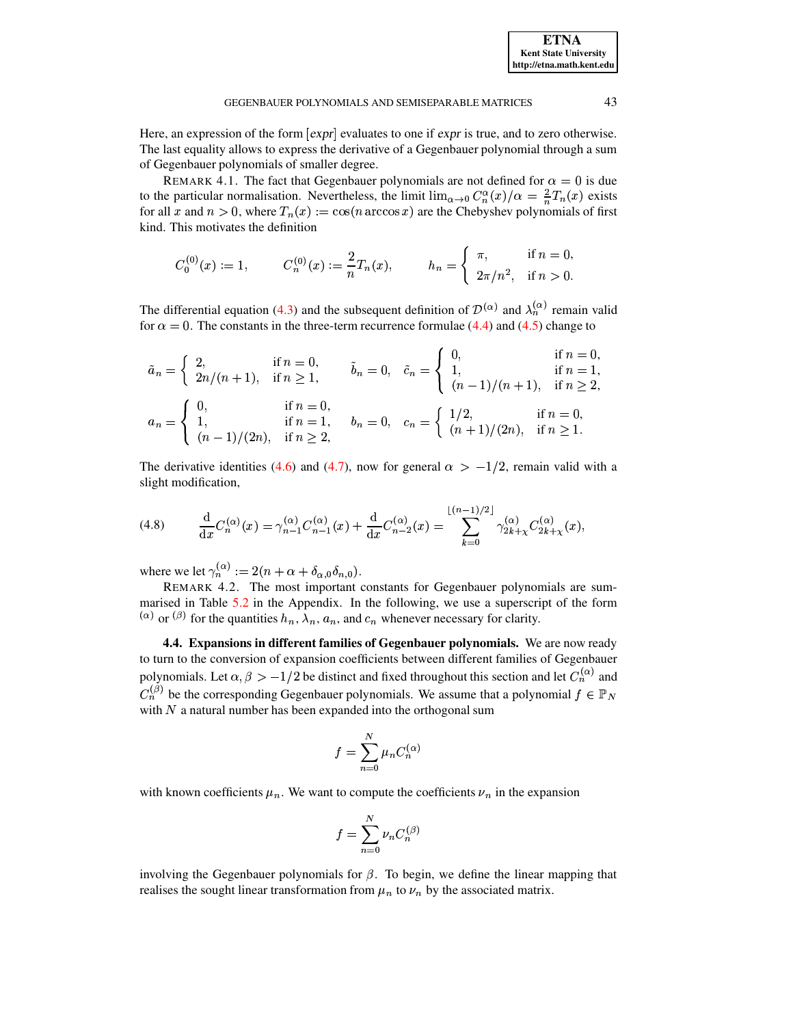Here, an expression of the form  $[expr]$  evaluates to one if *expr* is true, and to zero otherwise. The last equality allows to express the derivative of a Gegenbauer polynomial through a sum of Gegenbauer polynomials of smaller degree.

REMARK 4.1. The fact that Gegenbauer polynomials are not defined for  $\alpha = 0$  is due to the particular normalisation. Nevertheless, the limit  $\lim_{\alpha\to 0} C_n^{\alpha}(x)/\alpha = \frac{2}{n}T_n(x)$  exists for all x and  $n > 0$ , where  $T_n(x) := \cos(n \arccos x)$  are the Chebyshev polynomials of first kind. This motivates the definition

$$
C_0^{(0)}(x) := 1, \t C_n^{(0)}(x) := \frac{2}{n} T_n(x), \t h_n = \begin{cases} \pi, & \text{if } n = 0, \\ 2\pi/n^2, & \text{if } n > 0. \end{cases}
$$

The differential equation (4.3) and the subsequent definition of  $\mathcal{D}^{(\alpha)}$  and  $\lambda_n^{(\alpha)}$  remain valid for  $\alpha = 0$ . The constants in the three-term recurrence formulae (4.4) and (4.5) change to

$$
\tilde{a}_n = \begin{cases}\n2, & \text{if } n = 0, \\
2n/(n+1), & \text{if } n \ge 1,\n\end{cases}\n\qquad\n\tilde{b}_n = 0, \quad\n\tilde{c}_n = \begin{cases}\n0, & \text{if } n = 0, \\
1, & \text{if } n = 1, \\
(n-1)/(n+1), & \text{if } n \ge 2,\n\end{cases}
$$
\n
$$
a_n = \begin{cases}\n0, & \text{if } n = 0, \\
1, & \text{if } n = 1, \\
(n-1)/(2n), & \text{if } n \ge 2,\n\end{cases}\n\qquad\nb_n = 0, \quad c_n = \begin{cases}\n1/2, & \text{if } n = 0, \\
(n+1)/(2n), & \text{if } n \ge 1.\n\end{cases}
$$

<span id="page-17-2"></span>The derivative identities (4.6) and (4.7), now for general  $\alpha > -1/2$ , remain valid with a slight modification,

(4.8) 
$$
\frac{d}{dx}C_n^{(\alpha)}(x) = \gamma_{n-1}^{(\alpha)}C_{n-1}^{(\alpha)}(x) + \frac{d}{dx}C_{n-2}^{(\alpha)}(x) = \sum_{k=0}^{\lfloor (n-1)/2 \rfloor} \gamma_{2k+1}^{(\alpha)}C_{2k+1}^{(\alpha)}(x),
$$

where we let  $\gamma_n^{(\alpha)} := 2(n + \alpha + \delta_{\alpha,0}\delta_{n,0}).$ 

REMARK 4.2. The most important constants for Gegenbauer polynomials are summarised in Table 5.2 in the Appendix. In the following, we use a superscript of the form ( $\alpha$ ) or ( $\beta$ ) for the quantities  $h_n$ ,  $\lambda_n$ ,  $a_n$ , and  $c_n$  whenever necessary for clarity.

<span id="page-17-0"></span>4.4. Expansions in different families of Gegenbauer polynomials. We are now ready to turn to the conversion of expansion coefficients between different families of Gegenbauer polynomials. Let  $\alpha, \beta > -1/2$  be distinct and fixed throughout this section and let  $C_n^{(\alpha)}$  and  $C_n^{(\beta)}$  be the corresponding Gegenbauer polynomials. We assume that a polynomial  $f \in \mathbb{P}_N$ with  $N$  a natural number has been expanded into the orthogonal sum

$$
f = \sum_{n=0}^{N} \mu_n C_n^{(\alpha)}
$$

with known coefficients  $\mu_n$ . We want to compute the coefficients  $\nu_n$  in the expansion

<span id="page-17-1"></span>
$$
f=\sum_{n=0}^N \nu_n C_n^{(\beta)}
$$

involving the Gegenbauer polynomials for  $\beta$ . To begin, we define the linear mapping that realises the sought linear transformation from  $\mu_n$  to  $\nu_n$  by the associated matrix.

43

**ETNA Kent State University** http://etna.math.kent.edu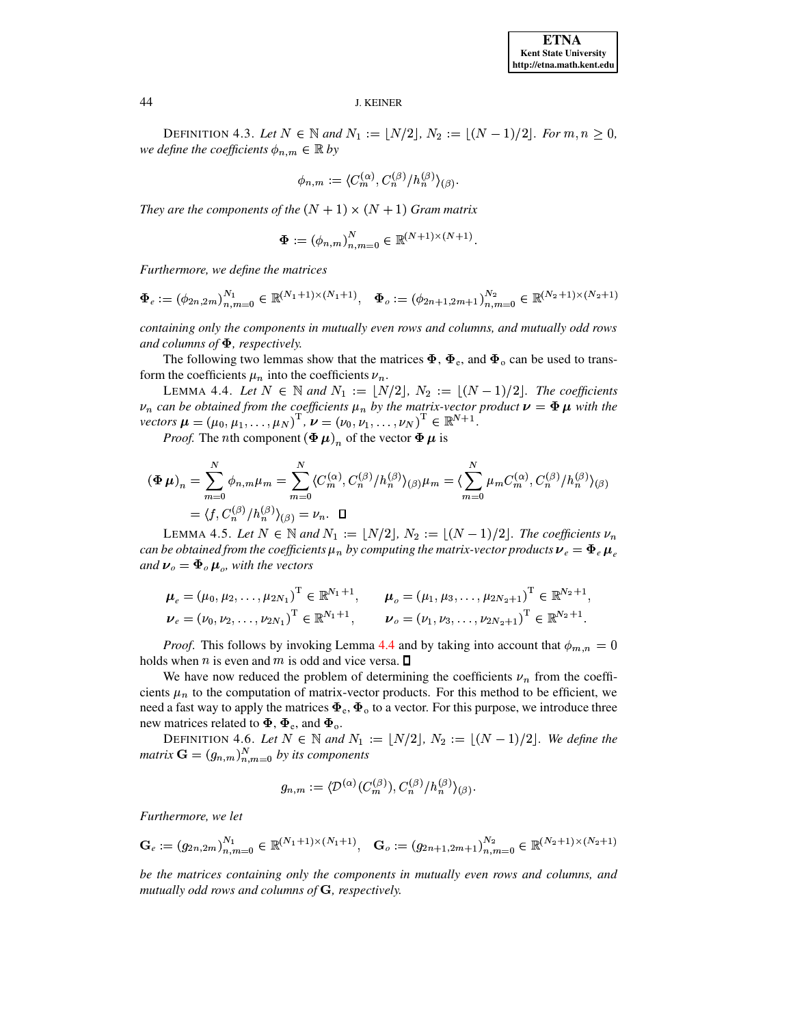DEFINITION 4.3. Let  $N \in \mathbb{N}$  and  $N_1 := \lfloor N/2 \rfloor, N_2 := \lfloor (N-1)/2 \rfloor$ . For  $m, n \geq 0$ , *we define the coefficients*  $\phi_{n,m} \in \mathbb{R}$  *by* 

$$
\phi_{n,m}:=\langle C^{(\alpha)}_m, C^{(\beta)}_n/h^{(\beta)}_n\rangle_{(\beta)}.
$$

*They are the components of the*  $(N + 1) \times (N + 1)$  *Gram matrix* 

$$
\Phi := (\phi_{n,m})_{n,m=0}^N \in \mathbb{R}^{(N+1)\times (N+1)}.
$$

*Furthermore, we define the matrices*

$$
\Phi_e := (\phi_{2n,2m})_{n,m=0}^{N_1} \in \mathbb{R}^{(N_1+1)\times(N_1+1)}, \quad \Phi_o := (\phi_{2n+1,2m+1})_{n,m=0}^{N_2} \in \mathbb{R}^{(N_2+1)\times(N_2+1)}
$$

*containing only the components in mutually even rows and columns, and mutually odd rows* and columns of  $\Phi$ , respectively.

The following two lemmas show that the matrices  $\Phi$ ,  $\Phi_e$ , and  $\Phi_o$  can be used to transform the coefficients  $\mu_n$  into the coefficients  $\nu_n$ .

<span id="page-18-0"></span>**LEMMA 4.4.** Let  $N \in \mathbb{N}$  and  $N_1 := \lfloor N/2 \rfloor$ ,  $N_2 := \lfloor (N-1)/2 \rfloor$ . The coefficients vectors  $\mu = (\mu_0, \mu_1, \dots, \mu_N)^T$ ,  $\nu = (\nu_0, \nu_1, \dots, \nu_N)^T$ <br>Proof. The *n*th component ( $\Phi$   $\mu$ ), of the vector  $\Phi$  $\mu_n$  *can be obtained from the coefficients*  $\mu_n$  *by the matrix-vector product*  $\nu = \Phi \mu$  with the . . . . . . . . . .  $\left(\mu_{N}\right)^{\mathrm{T}},\,\boldsymbol{\nu}=\left(\nu_{0},\nu_{1},\ldots,\nu_{N}\right)$  $\frac{1}{2}$  defined by  $\frac{1}{2}$  defined by  $\frac{1}{2}$ <sup>|</sup> *.*

*Proof.* The *n*th component  $(\Phi \mu)_n$  of the vector  $\Phi \mu$  is

$$
\begin{aligned} \left(\Phi\,\mu\right)_n &= \sum_{m=0}^N \phi_{n,m}\mu_m = \sum_{m=0}^N \langle C_n^{(\alpha)}, C_n^{(\beta)} \rangle h_n^{(\beta)} \rangle_{(\beta)} \mu_m = \langle \sum_{m=0}^N \mu_m C_m^{(\alpha)}, C_n^{(\beta)} \rangle h_n^{(\beta)} \rangle_{(\beta)} \\ &= \langle f, C_n^{(\beta)} \rangle h_n^{(\beta)} \rangle_{(\beta)} = \nu_n. \quad \Box \end{aligned}
$$

LEMMA 4.5. Let  $N \in \mathbb{N}$  and  $N_1 := \lfloor N/2 \rfloor$ ,  $N_2 := \lfloor (N-1)/2 \rfloor$ . The coefficients  $\nu_n$ can be obtained from the coefficients  $\mu_n$  by computing the matrix-vector products  $\bm{\nu}_e=\bm{\Phi}_e\,\bm{\mu}_e$ *and*  $\nu_o = \Phi_o \mu_o$ , *with the vectors* 

$$
\mu_e = (\mu_0, \mu_2, \dots, \mu_{2N_1})^{\mathrm{T}} \in \mathbb{R}^{N_1+1}, \qquad \mu_o = (\mu_1, \mu_3, \dots, \mu_{2N_2+1})^{\mathrm{T}} \in \mathbb{R}^{N_2+1},
$$
  

$$
\nu_e = (\nu_0, \nu_2, \dots, \nu_{2N_1})^{\mathrm{T}} \in \mathbb{R}^{N_1+1}, \qquad \nu_o = (\nu_1, \nu_3, \dots, \nu_{2N_2+1})^{\mathrm{T}} \in \mathbb{R}^{N_2+1}.
$$

*Proof.* This follows by invoking Lemma [4.4](#page-18-0) and by taking into account that  $\phi_{m,n} = 0$ holds when n is even and m is odd and vice versa.  $\square$ 

We have now reduced the problem of determining the coefficients  $\nu_n$  from the coefficients  $\mu_n$  to the computation of matrix-vector products. For this method to be efficient, we need a fast way to apply the matrices  $\pmb{\Phi}_{\rm e}, \pmb{\Phi}_{\rm o}$  to a vector. For this purpose, we introduce three new matrices related to  $\Phi$ ,  $\Phi_e$ , and  $\Phi_o$ .

<span id="page-18-1"></span>**DEFINITION 4.6.** Let  $N \in \mathbb{N}$  and  $N_1 := \lfloor N/2 \rfloor$ ,  $N_2 := \lfloor (N-1)/2 \rfloor$ . We define the  $matrix \mathbf{G} = (g_{n,m})_{n=m=0}^{N}$  by its components

$$
g_{n,m}:=\langle \mathcal{D}^{(\alpha)}(C^{(\beta)}_m),C^{(\beta)}_n/h_n^{(\beta)}\rangle_{(\beta)}.
$$

*Furthermore, we let*

$$
\mathbf{G}_e := (g_{2n,2m})_{n,m=0}^{N_1} \in \mathbb{R}^{(N_1+1)\times(N_1+1)}, \quad \mathbf{G}_o := (g_{2n+1,2m+1})_{n,m=0}^{N_2} \in \mathbb{R}^{(N_2+1)\times(N_2+1)}
$$

*be the matrices containing only the components in mutually even rows and columns, and mutually odd rows and columns of* G, *respectively.*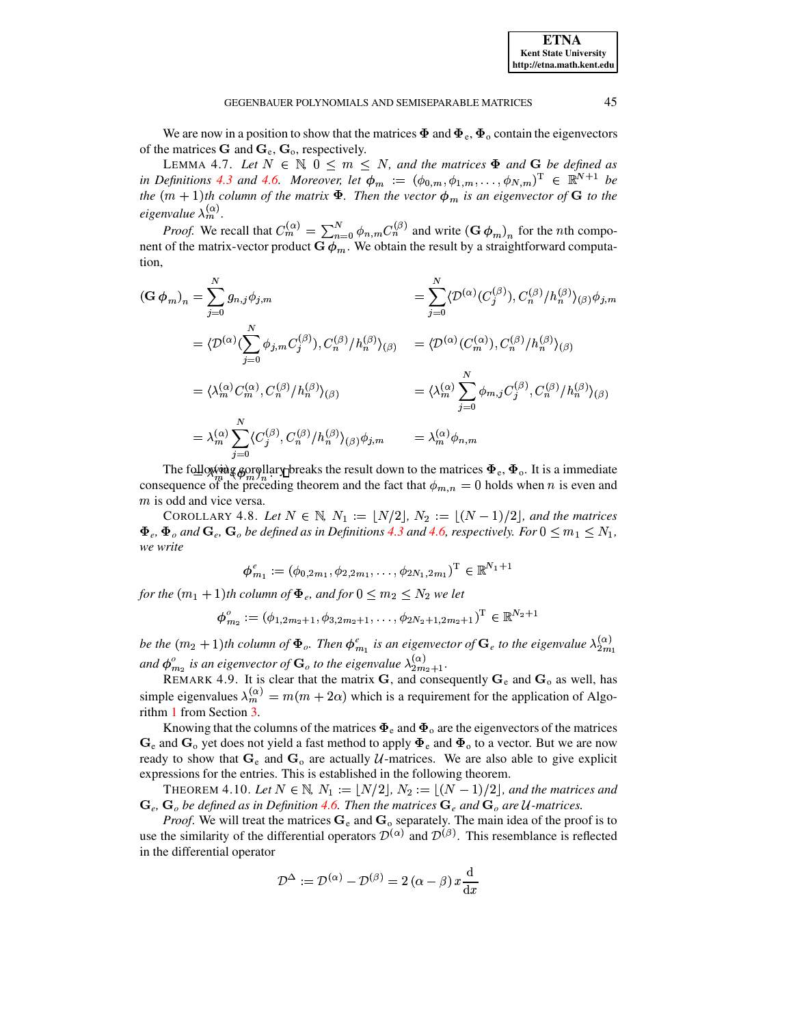We are now in a position to show that the matrices  $\Phi$  and  $\Phi_{e}$ ,  $\Phi_{o}$  contain the eigenvectors of the matrices  $\bf{G}$  and  $\bf{G}_e$ ,  $\bf{G}_o$ , respectively.

LEMMA 4.7. Let  $N \in \mathbb{N}$ ,  $0 \leq m \leq N$ , and the matrices  $\Phi$  and  $G$  be defined as in Definitions 4.3 and 4.6. Moreover, let  $\phi_m := (\phi_{0,m}, \phi_{1,m}, \dots, \phi_{N,m})^T \in \mathbb{R}^{N+1}$  be the  $(m + 1)$ th column of the matrix  $\Phi$ . Then the vector  $\phi_m$  is an eigenvector of G to the eigenvalue  $\lambda_m^{(\alpha)}$ .

*Proof.* We recall that  $C_m^{(\alpha)} = \sum_{n=0}^{N} \phi_{n,m} C_n^{(\beta)}$  and write  $(\mathbf{G} \phi_m)_n$  for the *n*th component of the matrix-vector product  $G \phi_m$ . We obtain the result by a straightforward computation,

$$
\begin{aligned}\n(\mathbf{G} \,\phi_m)_n &= \sum_{j=0}^N g_{n,j} \phi_{j,m} \\
&= \langle \mathcal{D}^{(\alpha)} (\sum_{j=0}^N \phi_{j,m} C_j^{(\beta)}), C_n^{(\beta)} / h_n^{(\beta)} \rangle_{(\beta)} \\
&= \langle \mathcal{D}^{(\alpha)} (\sum_{j=0}^N \phi_{j,m} C_j^{(\beta)}), C_n^{(\beta)} / h_n^{(\beta)} \rangle_{(\beta)} \\
&= \langle \lambda_m^{(\alpha)} C_m^{(\alpha)}, C_n^{(\beta)} / h_n^{(\beta)} \rangle_{(\beta)} \\
&= \langle \lambda_m^{(\alpha)} \sum_{j=0}^N \phi_{m,j} C_j^{(\beta)}, C_n^{(\beta)} / h_n^{(\beta)} \rangle_{(\beta)} \\
&= \lambda_m^{(\alpha)} \sum_{j=0}^N \langle C_j^{(\beta)}, C_n^{(\beta)} / h_n^{(\beta)} \rangle_{(\beta)} \phi_{j,m} \\
&= \lambda_m^{(\alpha)} \phi_{n,m}\n\end{aligned}
$$

The following gorollary preaks the result down to the matrices  $\Phi_e$ ,  $\Phi_o$ . It is a immediate consequence of the preceding theorem and the fact that  $\phi_{m,n} = 0$  holds when *n* is even and  $m$  is odd and vice versa.

COROLLARY 4.8. Let  $N \in \mathbb{N}$ ,  $N_1 := \lfloor N/2 \rfloor$ ,  $N_2 := \lfloor (N-1)/2 \rfloor$ , and the matrices  $\Phi_e$ ,  $\Phi_o$  and  $\mathbf{G}_e$ ,  $\mathbf{G}_o$  be defined as in Definitions 4.3 and 4.6, respectively. For  $0 \le m_1 \le N_1$ , we write

$$
\boldsymbol{\phi}_{m_1}^e := (\phi_{0,2m_1}, \phi_{2,2m_1}, \dots, \phi_{2N_1,2m_1})^{\mathrm{T}} \in \mathbb{R}^{N_1+1}
$$

for the  $(m_1 + 1)$ th column of  $\Phi_e$ , and for  $0 \le m_2 \le N_2$  we let

$$
\boldsymbol{\phi}_{m_2}^o := (\phi_{1,2m_2+1}, \phi_{3,2m_2+1}, \dots, \phi_{2N_2+1,2m_2+1})^\mathrm{T} \in \mathbb{R}^{N_2+1}
$$

be the  $(m_2 + 1)$ th column of  $\Phi_o$ . Then  $\phi_{m_1}^e$  is an eigenvector of  $\mathbf{G}_e$  to the eigenvalue  $\lambda_{2m_1}^{(\alpha)}$ and  $\phi_{m_2}^o$  is an eigenvector of  $\mathbf{G}_o$  to the eigenvalue  $\lambda_{2m_2+1}^{(\alpha)}$ .<br>REMARK 4.9. It is clear that the matrix  $\mathbf{G}$ , and consequently  $\mathbf{G}_e$  and  $\mathbf{G}_o$  as well, has

simple eigenvalues  $\lambda_m^{(\alpha)} = m(m + 2\alpha)$  which is a requirement for the application of Algorithm 1 from Section 3.

Knowing that the columns of the matrices  $\Phi_e$  and  $\Phi_o$  are the eigenvectors of the matrices  $G_e$  and  $G_o$  yet does not yield a fast method to apply  $\Phi_e$  and  $\Phi_o$  to a vector. But we are now ready to show that  $G_e$  and  $G_o$  are actually U-matrices. We are also able to give explicit expressions for the entries. This is established in the following theorem.

THEOREM 4.10. Let  $N \in \mathbb{N}$ ,  $N_1 := \lfloor N/2 \rfloor$ ,  $N_2 := \lfloor (N-1)/2 \rfloor$ , and the matrices and  $\mathbf{G}_e$ ,  $\mathbf{G}_o$  be defined as in Definition 4.6. Then the matrices  $\mathbf{G}_e$  and  $\mathbf{G}_o$  are U-matrices.

*Proof.* We will treat the matrices  $G_e$  and  $G_o$  separately. The main idea of the proof is to use the similarity of the differential operators  $\mathcal{D}^{(\alpha)}$  and  $\mathcal{D}^{(\beta)}$ . This resemblance is reflected in the differential operator

$$
\mathcal{D}^{\Delta} := \mathcal{D}^{(\alpha)} - \mathcal{D}^{(\beta)} = 2 (\alpha - \beta) x \frac{\mathrm{d}}{\mathrm{d}x}
$$

**ETNA Kent State University** http://etna.math.kent.edu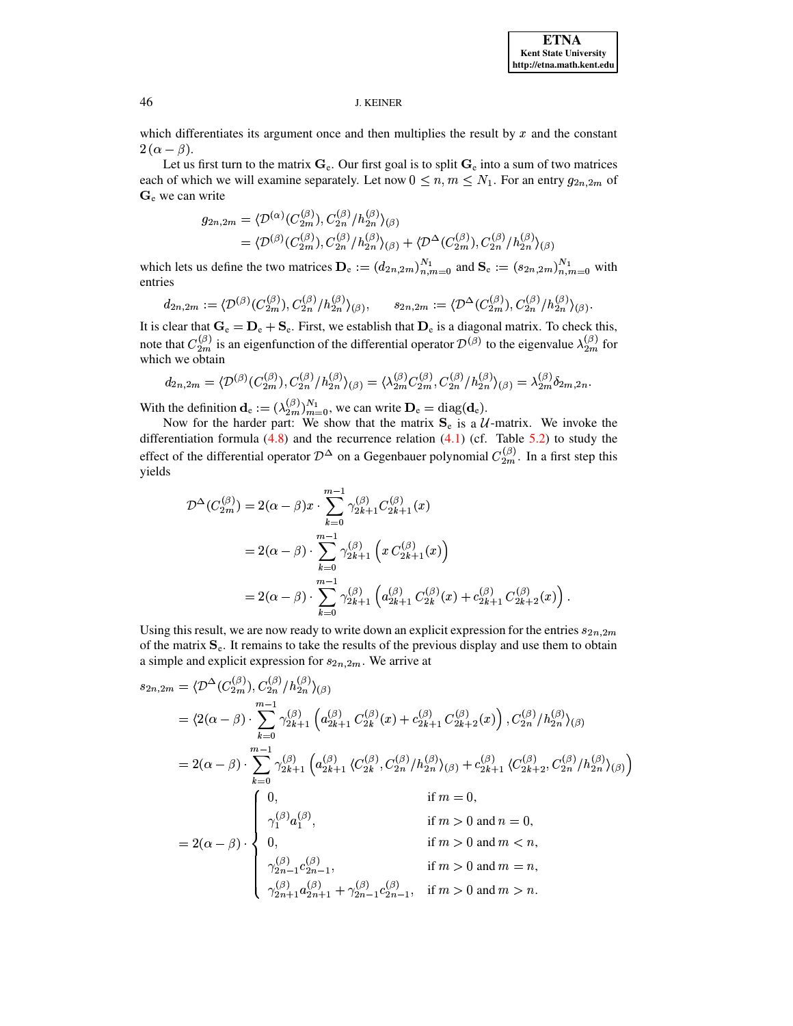**ETNA Kent State University** http://etna.math.kent.edu

#### **J. KEINER**

which differentiates its argument once and then multiplies the result by  $x$  and the constant  $2(\alpha-\beta).$ 

Let us first turn to the matrix  $G_e$ . Our first goal is to split  $G_e$  into a sum of two matrices each of which we will examine separately. Let now  $0 \le n, m \le N_1$ . For an entry  $g_{2n,2m}$  of  $G_e$  we can write

$$
g_{2n,2m} = \langle \mathcal{D}^{(\alpha)}(C_{2m}^{(\beta)}), C_{2n}^{(\beta)}/h_{2n}^{(\beta)} \rangle_{(\beta)}
$$
  
=  $\langle \mathcal{D}^{(\beta)}(C_{2m}^{(\beta)}), C_{2n}^{(\beta)}/h_{2n}^{(\beta)} \rangle_{(\beta)} + \langle \mathcal{D}^{\Delta}(C_{2m}^{(\beta)}), C_{2n}^{(\beta)}/h_{2n}^{(\beta)} \rangle_{(\beta)}$ 

which lets us define the two matrices  $\mathbf{D}_{e} := (d_{2n,2m})_{n,m=0}^{N_1}$  and  $\mathbf{S}_{e} := (s_{2n,2m})_{n,m=0}^{N_1}$  with entries

$$
d_{2n,2m} := \langle \mathcal{D}^{(\beta)}(C_{2m}^{(\beta)}), C_{2n}^{(\beta)}/h_{2n}^{(\beta)} \rangle_{(\beta)}, \qquad s_{2n,2m} := \langle \mathcal{D}^{\Delta}(C_{2m}^{(\beta)}), C_{2n}^{(\beta)}/h_{2n}^{(\beta)} \rangle_{(\beta)}
$$

It is clear that  $G_e = D_e + S_e$ . First, we establish that  $D_e$  is a diagonal matrix. To check this, note that  $C_{2m}^{(\beta)}$  is an eigenfunction of the differential operator  $\mathcal{D}^{(\beta)}$  to the eigenvalue  $\lambda_{2m}^{(\beta)}$  for which we obtain

$$
d_{2n,2m} = \langle \mathcal{D}^{(\beta)}(C_{2m}^{(\beta)}), C_{2n}^{(\beta)}/h_{2n}^{(\beta)} \rangle_{(\beta)} = \langle \lambda_{2m}^{(\beta)} C_{2m}^{(\beta)}, C_{2n}^{(\beta)}/h_{2n}^{(\beta)} \rangle_{(\beta)} = \lambda_{2m}^{(\beta)} \delta_{2m,2n}
$$

 $\mathbb{Z}^{\times}$  .

With the definition  $\mathbf{d}_e := (\lambda_{2m}^{(\beta)})_{m=0}^{N_1}$ , we can write  $\mathbf{D}_e = \text{diag}(\mathbf{d}_e)$ .<br>Now for the harder part: We show that the matrix  $\mathbf{S}_e$  is a  $\mathcal{U}$ -matrix. We invoke the differentiation formula  $(4.8)$  and the recurrence relation  $(4.1)$  (cf. Table 5.2) to study the effect of the differential operator  $\mathcal{D}^{\Delta}$  on a Gegenbauer polynomial  $C_{2m}^{(\beta)}$ . In a first step this yields

$$
\mathcal{D}^{\Delta}(C_{2m}^{(\beta)}) = 2(\alpha - \beta)x \cdot \sum_{k=0}^{m-1} \gamma_{2k+1}^{(\beta)} C_{2k+1}^{(\beta)}(x)
$$
  
=  $2(\alpha - \beta) \cdot \sum_{k=0}^{m-1} \gamma_{2k+1}^{(\beta)} (x C_{2k+1}^{(\beta)}(x))$   
=  $2(\alpha - \beta) \cdot \sum_{k=0}^{m-1} \gamma_{2k+1}^{(\beta)} (a_{2k+1}^{(\beta)} C_{2k}^{(\beta)}(x) + c_{2k+1}^{(\beta)} C_{2k+2}^{(\beta)}(x))$ 

Using this result, we are now ready to write down an explicit expression for the entries  $s_{2n,2m}$ of the matrix  $S_e$ . It remains to take the results of the previous display and use them to obtain a simple and explicit expression for  $s_{2n,2m}$ . We arrive at

$$
s_{2n,2m} = \langle \mathcal{D}^{\Delta}(C_{2m}^{(\beta)}), C_{2n}^{(\beta)}/h_{2n}^{(\beta)} \rangle_{(\beta)}
$$
  
\n
$$
= \langle 2(\alpha - \beta) \cdot \sum_{k=0}^{m-1} \gamma_{2k+1}^{(\beta)} \left( a_{2k+1}^{(\beta)} C_{2k}^{(\beta)}(x) + c_{2k+1}^{(\beta)} C_{2k+2}^{(\beta)}(x) \right), C_{2n}^{(\beta)}/h_{2n}^{(\beta)} \rangle_{(\beta)}
$$
  
\n
$$
= 2(\alpha - \beta) \cdot \sum_{k=0}^{m-1} \gamma_{2k+1}^{(\beta)} \left( a_{2k+1}^{(\beta)} \langle C_{2k}^{(\beta)}, C_{2n}^{(\beta)}/h_{2n}^{(\beta)} \rangle_{(\beta)} + c_{2k+1}^{(\beta)} \langle C_{2k+2}^{(\beta)}, C_{2n}^{(\beta)}/h_{2n}^{(\beta)} \rangle_{(\beta)} \right)
$$
  
\n
$$
= 2(\alpha - \beta) \cdot \begin{cases} 0, & \text{if } m = 0, \\ \gamma_1^{(\beta)} a_1^{(\beta)}, & \text{if } m > 0 \text{ and } n = 0, \\ 0, & \text{if } m > 0 \text{ and } m = n, \\ \gamma_{2n-1}^{(\beta)} c_{2n-1}^{(\beta)}, & \text{if } m > 0 \text{ and } m = n, \\ \gamma_{2n+1}^{(\beta)} a_{2n+1}^{(\beta)} + \gamma_{2n-1}^{(\beta)} c_{2n-1}^{(\beta)}, & \text{if } m > 0 \text{ and } m > n. \end{cases}
$$

46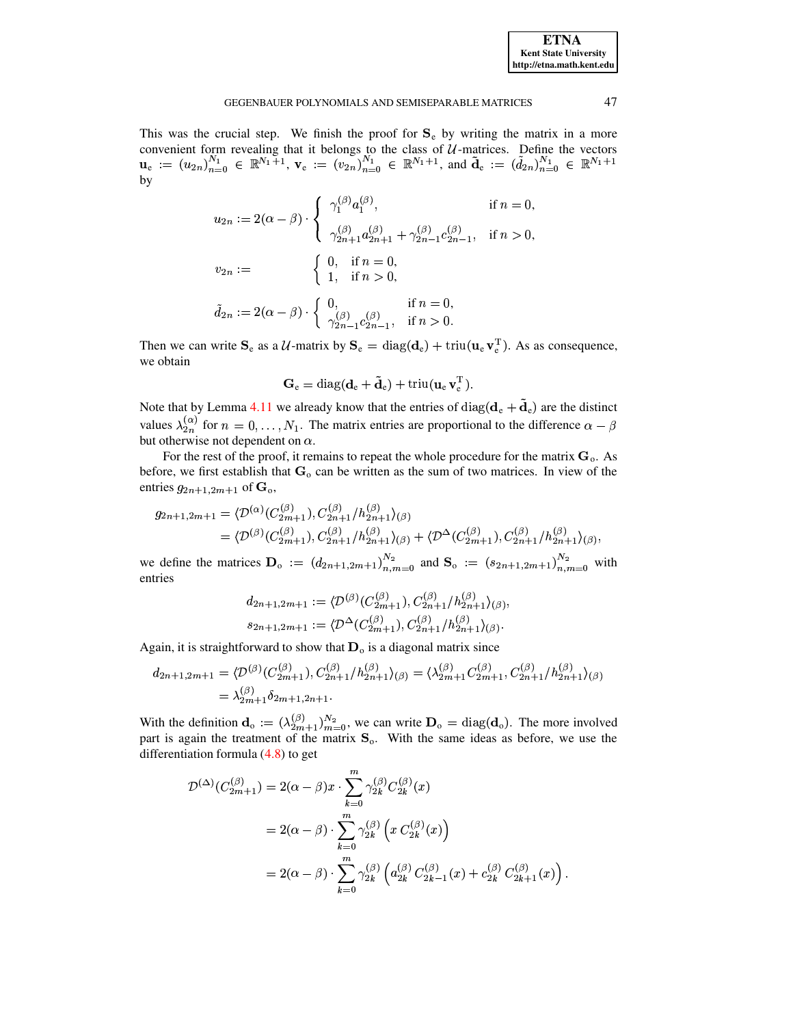| <b>ETNA</b>                  |  |  |  |  |  |
|------------------------------|--|--|--|--|--|
| <b>Kent State University</b> |  |  |  |  |  |
| http://etna.math.kent.edu    |  |  |  |  |  |

#### GEGENBAUER POLYNOMIALS AND SEMISEPARABLE MATRICES

This was the crucial step. We finish the proof for  $S_e$  by writing the matrix in a more convenient form revealing that it belongs to the class of  $U$ -matrices. Define the vectors  $\mathbf{u}_{e} := (u_{2n})_{n=0}^{N_1} \in \mathbb{R}^{N_1+1}$ ,  $\mathbf{v}_{e} := (v_{2n})_{n=0}^{N_1} \in \mathbb{R}^{N_1+1}$ , and  $\tilde{\mathbf{d}}_{e} := (\tilde{d}_{2n})_{n=0}^{N_1} \in \mathbb$ by

$$
u_{2n} := 2(\alpha - \beta) \cdot \begin{cases} \gamma_1^{(\beta)} a_1^{(\beta)}, & \text{if } n = 0, \\ \gamma_{2n+1}^{(\beta)} a_{2n+1}^{(\beta)} + \gamma_{2n-1}^{(\beta)} c_{2n-1}^{(\beta)}, & \text{if } n > 0, \end{cases}
$$
  

$$
v_{2n} := \begin{cases} 0, & \text{if } n = 0, \\ 1, & \text{if } n > 0, \\ \gamma_{2n-1}^{(\beta)} c_{2n-1}^{(\beta)}, & \text{if } n = 0, \end{cases}
$$
  

$$
\tilde{d}_{2n} := 2(\alpha - \beta) \cdot \begin{cases} 0, & \text{if } n = 0, \\ \gamma_{2n-1}^{(\beta)} c_{2n-1}^{(\beta)}, & \text{if } n > 0. \end{cases}
$$

Then we can write  $S_e$  as a U-matrix by  $S_e = \text{diag}(\mathbf{d}_e) + \text{triu}(\mathbf{u}_e \mathbf{v}_e^T)$ . As as consequence, we obtain

$$
\mathbf{G}_{\mathrm{e}} = \mathrm{diag}(\mathbf{d}_{\mathrm{e}} + \mathbf{\tilde{d}}_{\mathrm{e}}) + \mathrm{triu}(\mathbf{u}_{\mathrm{e}} \, \mathbf{v}_{\mathrm{e}}^{\mathrm{T}}).
$$

Note that by Lemma 4.11 we already know that the entries of  $diag(\mathbf{d}_e + \tilde{\mathbf{d}}_e)$  are the distinct values  $\lambda_{2n}^{(\alpha)}$  for  $n = 0, ..., N_1$ . The matrix entries are proportional to the difference  $\alpha - \beta$ but otherwise not dependent on  $\alpha$ .

For the rest of the proof, it remains to repeat the whole procedure for the matrix  $G_0$ . As before, we first establish that  $G_0$  can be written as the sum of two matrices. In view of the entries  $g_{2n+1,2m+1}$  of  $\mathbf{G}_{\mathrm{o}}$ ,

$$
g_{2n+1,2m+1} = \langle \mathcal{D}^{(\alpha)}(C_{2m+1}^{(\beta)}), C_{2n+1}^{(\beta)}/h_{2n+1}^{(\beta)} \rangle_{(\beta)}
$$
  
=  $\langle \mathcal{D}^{(\beta)}(C_{2m+1}^{(\beta)}), C_{2n+1}^{(\beta)}/h_{2n+1}^{(\beta)} \rangle_{(\beta)} + \langle \mathcal{D}^{\Delta}(C_{2m+1}^{(\beta)}), C_{2n+1}^{(\beta)}/h_{2n+1}^{(\beta)} \rangle_{(\beta)},$ 

we define the matrices  $D_0 := (d_{2n+1,2m+1})_{n,m=0}^{N_2}$  and  $S_0 := (s_{2n+1,2m+1})_{n,m=0}^{N_2}$  with entries

$$
d_{2n+1,2m+1} := \langle \mathcal{D}^{(\beta)}(C_{2m+1}^{(\beta)}), C_{2n+1}^{(\beta)}/h_{2n+1}^{(\beta)})_{(\beta)},
$$
  

$$
s_{2n+1,2m+1} := \langle \mathcal{D}^{\Delta}(C_{2m+1}^{(\beta)}), C_{2n+1}^{(\beta)}/h_{2n+1}^{(\beta)})_{(\beta)}.
$$

Again, it is straightforward to show that  $D_0$  is a diagonal matrix since

$$
d_{2n+1,2m+1} = \langle \mathcal{D}^{(\beta)}(C_{2m+1}^{(\beta)}), C_{2n+1}^{(\beta)}/h_{2n+1}^{(\beta)} \rangle_{(\beta)} = \langle \lambda_{2m+1}^{(\beta)} C_{2m+1}^{(\beta)}, C_{2n+1}^{(\beta)}/h_{2n+1}^{(\beta)} \rangle_{(\beta)}
$$
  
=  $\lambda_{2m+1}^{(\beta)} \delta_{2m+1,2n+1}.$ 

With the definition  $\mathbf{d}_{o} := (\lambda_{2m+1}^{(\beta)})_{m=0}^{N_2}$ , we can write  $\mathbf{D}_{o} = \text{diag}(\mathbf{d}_{o})$ . The more involved part is again the treatment of the matrix  $\mathbf{S}_{o}$ . With the same ideas as before, we use the differentiation formula  $(4.8)$  to get

$$
\mathcal{D}^{(\Delta)}(C_{2m+1}^{(\beta)}) = 2(\alpha - \beta)x \cdot \sum_{k=0}^{m} \gamma_{2k}^{(\beta)} C_{2k}^{(\beta)}(x)
$$
  
=  $2(\alpha - \beta) \cdot \sum_{k=0}^{m} \gamma_{2k}^{(\beta)} (x C_{2k}^{(\beta)}(x))$   
=  $2(\alpha - \beta) \cdot \sum_{k=0}^{m} \gamma_{2k}^{(\beta)} (a_{2k}^{(\beta)} C_{2k-1}^{(\beta)}(x) + c_{2k}^{(\beta)} C_{2k+1}^{(\beta)}(x)).$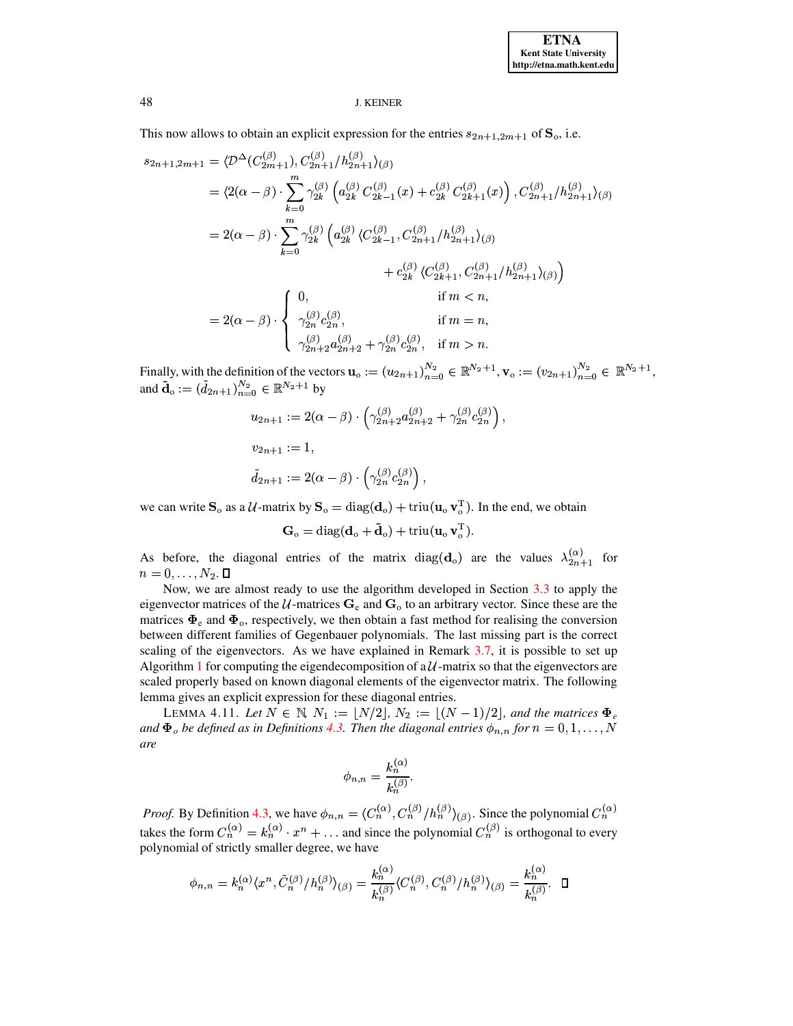This now allows to obtain an explicit expression for the entries  $s_{2n+1,2m+1}$  of  $\mathbf{S}_0$ , i.e.

$$
s_{2n+1,2m+1} = \langle \mathcal{D}^{\Delta}(C_{2m+1}^{(\beta)}), C_{2n+1}^{(\beta)}/h_{2n+1}^{(\beta)} \rangle_{(\beta)}
$$
  
\n
$$
= \langle 2(\alpha - \beta) \cdot \sum_{k=0}^{m} \gamma_{2k}^{(\beta)} \left( a_{2k}^{(\beta)} C_{2k-1}^{(\beta)}(x) + c_{2k}^{(\beta)} C_{2k+1}^{(\beta)}(x) \right), C_{2n+1}^{(\beta)}/h_{2n+1}^{(\beta)} \rangle_{(\beta)}
$$
  
\n
$$
= 2(\alpha - \beta) \cdot \sum_{k=0}^{m} \gamma_{2k}^{(\beta)} \left( a_{2k}^{(\beta)} \langle C_{2k-1}^{(\beta)}, C_{2n+1}^{(\beta)}/h_{2n+1}^{(\beta)} \rangle_{(\beta)} + c_{2k}^{(\beta)} \langle C_{2k+1}^{(\beta)}, C_{2n+1}^{(\beta)}/h_{2n+1}^{(\beta)} \rangle_{(\beta)} \right)
$$
  
\n
$$
+ c_{2k}^{(\beta)} \langle C_{2k+1}^{(\beta)}, C_{2n+1}^{(\beta)}/h_{2n+1}^{(\beta)} \rangle_{(\beta)} \rangle_{(\beta)}
$$
  
\nif  $m < n$ ,  
\n
$$
\gamma_{2n}^{(\beta)} c_{2n}^{(\beta)}, \qquad \text{if } m = n,
$$
  
\n
$$
\gamma_{2n+2}^{(\beta)} a_{2n+2}^{(\beta)} + \gamma_{2n}^{(\beta)} c_{2n}^{(\beta)}, \qquad \text{if } m > n.
$$

Finally, with the definition of the vectors  $\mathbf{u}_{0} := (u_{2n+1})_{n=0}^{N_2} \in \mathbb{R}^{N_2+1}$ ,  $\mathbf{v}_{0} := (v_{2n+1})_{n=0}^{N_2} \in \mathbb{R}^{N_2+1}$ , and  $\tilde{\mathbf{d}}_0 := (\tilde{d}_{2n+1})_{n=0}^{N_2} \in \mathbb{R}^{N_2+1}$  by

$$
u_{2n+1} := 2(\alpha - \beta) \cdot \left( \gamma_{2n+2}^{(\beta)} a_{2n+2}^{(\beta)} + \gamma_{2n}^{(\beta)} c_{2n}^{(\beta)} \right)
$$
  

$$
v_{2n+1} := 1,
$$
  

$$
\tilde{d}_{2n+1} := 2(\alpha - \beta) \cdot \left( \gamma_{2n}^{(\beta)} c_{2n}^{(\beta)} \right),
$$

we can write  $S_0$  as a  $\mathcal{U}$ -matrix by  $S_0 = diag(d_0) + triu(u_0 v_0^T)$ . In the end, we obtain

$$
\mathbf{G}_{\mathrm{o}} = \mathrm{diag}(\mathbf{d}_{\mathrm{o}} + \tilde{\mathbf{d}}_{\mathrm{o}}) + \mathrm{triu}(\mathbf{u}_{\mathrm{o}} \, \mathbf{v}_{\mathrm{o}}^{\mathrm{T}}).
$$

As before, the diagonal entries of the matrix diag( $\mathbf{d}_0$ ) are the values  $\lambda_{2n+1}^{(\alpha)}$  for  $n=0,\ldots,N_2.$   $\Box$ 

Now, we are almost ready to use the algorithm developed in Section  $3.3$  to apply the eigenvector matrices of the  $U$ -matrices  $G_e$  and  $G_o$  to an arbitrary vector. Since these are the matrices  $\Phi_e$  and  $\Phi_o$ , respectively, we then obtain a fast method for realising the conversion between different families of Gegenbauer polynomials. The last missing part is the correct scaling of the eigenvectors. As we have explained in Remark 3.7, it is possible to set up Algorithm 1 for computing the eigendecomposition of a  $\mathcal{U}$ -matrix so that the eigenvectors are scaled properly based on known diagonal elements of the eigenvector matrix. The following lemma gives an explicit expression for these diagonal entries.

<span id="page-22-0"></span>LEMMA 4.11. Let  $N \in \mathbb{N}$ ,  $N_1 := |N/2|$ ,  $N_2 := |(N-1)/2|$ , and the matrices  $\Phi_e$ and  $\Phi_o$  be defined as in Definitions 4.3. Then the diagonal entries  $\phi_{n,n}$  for  $n = 0, 1, ..., N$ are

$$
\phi_{n,n}=\frac{k_n^{(\alpha)}}{k_n^{(\beta)}}.
$$

*Proof.* By Definition 4.3, we have  $\phi_{n,n} = \langle C_n^{(\alpha)}, C_n^{(\beta)} / h_n^{(\beta)} \rangle_{(\beta)}$ . Since the polynomial  $C_n^{(\alpha)}$ takes the form  $C_n^{(\alpha)} = k_n^{(\alpha)} \cdot x^n + \dots$  and since the polynomial  $C_n^{(\beta)}$  is orthogonal to every polynomial of strictly smaller degree, we have

$$
\phi_{n,n}=k_{n}^{(\alpha)}\langle x^{n}, \tilde{C}_{n}^{(\beta)}/h_{n}^{(\beta)}\rangle_{(\beta)}=\frac{k_{n}^{(\alpha)}}{k_{n}^{(\beta)}}\langle C_{n}^{(\beta)}, C_{n}^{(\beta)}/h_{n}^{(\beta)}\rangle_{(\beta)}=\frac{k_{n}^{(\alpha)}}{k_{n}^{(\beta)}}. \quad \Box
$$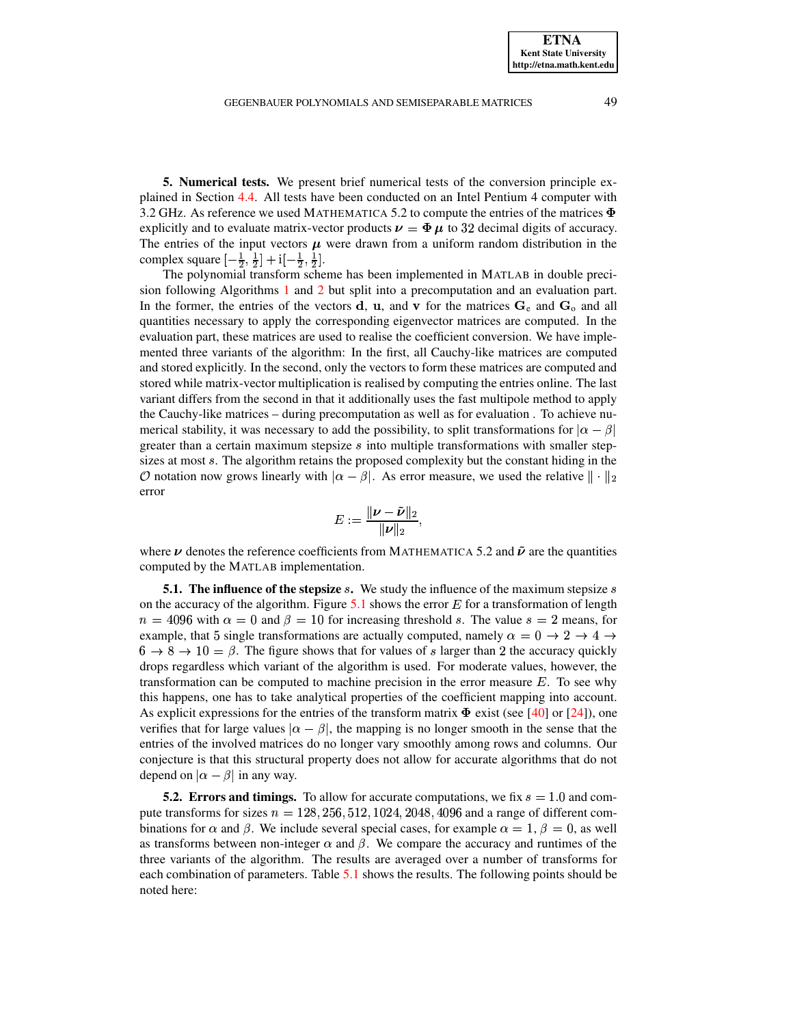<span id="page-23-0"></span>**5. Numerical tests.** We present brief numerical tests of the conversion principle explained in Section [4.4.](#page-17-0) All tests have been conducted on an Intel Pentium 4 computer with 3.2 GHz. As reference we used MATHEMATICA 5.2 to compute the entries of the matrices  $\Phi$ explicitly and to evaluate matrix-vector products  $\nu = \Phi \mu$  to 32 decimal digits of accuracy. The entries of the input vectors  $\mu$  were drawn from a uniform random distribution in the complex square  $\left[-\frac{1}{2},\frac{1}{2}\right] + i\left[-\frac{1}{2},\frac{1}{2}\right]$ .

The polynomial transform scheme has been implemented in MATLAB in double precision following Algorithms [1](#page-14-0) and [2](#page-15-1) but split into a precomputation and an evaluation part. In the former, the entries of the vectors **d**, **u**, and **v** for the matrices  $G_e$  and  $G_o$  and all quantities necessary to apply the corresponding eigenvector matrices are computed. In the evaluation part, these matrices are used to realise the coefficient conversion. We have implemented three variants of the algorithm: In the first, all Cauchy-like matrices are computed and stored explicitly. In the second, only the vectors to form these matrices are computed and stored while matrix-vector multiplication is realised by computing the entries online. The last variant differs from the second in that it additionally uses the fast multipole method to apply the Cauchy-like matrices – during precomputation as well as for evaluation . To achieve numerical stability, it was necessary to add the possibility, to split transformations for  $|\alpha - \beta|$ greater than a certain maximum stepsize  $s$  into multiple transformations with smaller stepsizes at most s. The algorithm retains the proposed complexity but the constant hiding in the  $\mathcal O$  notation now grows linearly with  $|\alpha - \beta|$ . As error measure, we used the relative  $||\cdot||_2$ error

$$
E:=\frac{\|\boldsymbol{\nu}-\boldsymbol{\tilde{\nu}}\|_2}{\|\boldsymbol{\nu}\|_2},
$$

where  $\nu$  denotes the reference coefficients from MATHEMATICA 5.2 and  $\tilde{\nu}$  are the quantities computed by the MATLAB implementation.

**[5.1](#page-24-0).** The influence of the stepsize  $s$ . We study the influence of the maximum stepsize  $s$  on the accuracy of the algorithm. Figure 5.1 shows the error  $E$  for a transformation of length on the accuracy of the algorithm. Figure 5.1 shows the error  $E$  for a transformation of length  $n = 4096$  with  $\alpha = 0$  and  $\beta = 10$  for increasing threshold s. The value  $s = 2$  means, for example, that 5 single transformations are actually computed, namely  $\alpha = 0 \rightarrow 2 \rightarrow 4 \rightarrow$  $6 \rightarrow 8 \rightarrow 10 = \beta$ . The figure shows that for values of s larger than 2 the accuracy quickly drops regardless which variant of the algorithm is used. For moderate values, however, the drops regardless which variant of the algorithm is used. For moderate values, however, the transformation can be computed to machine precision in the error measure  $E$ . To see why this happens, one has to take analytical properties of the coefficient mapping into account. As explicit expressions for the entries of the transform matrix  $\Phi$  exist (see [\[40\]](#page-27-3) or [\[24\]](#page-27-5)), one verifies that for large values  $|\alpha - \beta|$ , the mapping is no longer smooth in the sense that the entries of the involved matrices do no longer vary smoothly among rows and columns. Our conjecture is that this structural property does not allow for accurate algorithms that do not depend on  $|\alpha - \beta|$  in any way.

**5.2. Errors and timings.** To allow for accurate computations, we fix  $s = 1.0$  and compute transforms for sizes  $n = 128, 256, 512, 1024, 2048, 4096$  and a range of different combinations for  $\alpha$  and  $\beta$ . We include several special cases, for example  $\alpha = 1, \beta = 0$ , as well as transforms between non-integer  $\alpha$  and  $\beta$ . We compare the accuracy and runtimes of the three variants of the algorithm. The results are averaged over a number of transforms for each combination of parameters. Table [5.1](#page-25-0) shows the results. The following points should be noted here: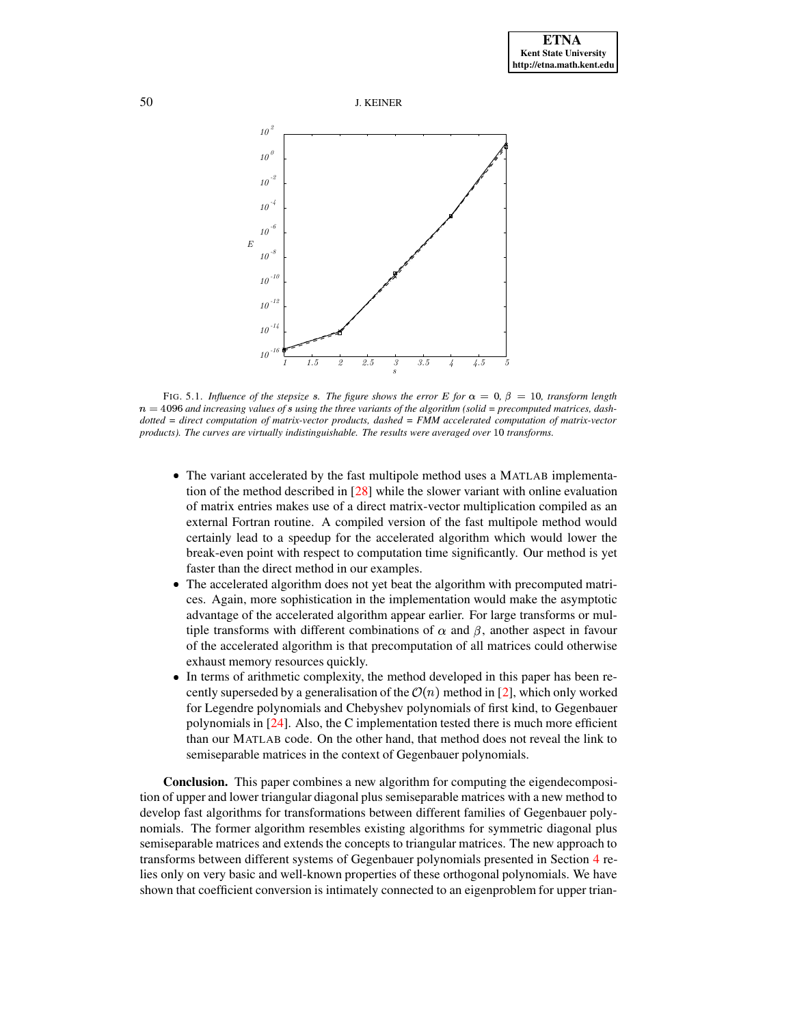



<span id="page-24-0"></span>FIG. 5.1. *Influence of the stepsize* s. The figure shows the error E for  $\alpha = 0$ ,  $\beta = 10$ , transform length  $n = 4096$  and increasing values of s using the three variants of the algorithm (solid = precomputed matrices, dash*dotted = direct computation of matrix-vector products, dashed = FMM accelerated computation of matrix-vector products*). The curves are virtually indistinguishable. The results were averaged over 10 transforms.

- The variant accelerated by the fast multipole method uses a MATLAB implementation of the method described in [\[28\]](#page-27-27) while the slower variant with online evaluation of matrix entries makes use of a direct matrix-vector multiplication compiled as an external Fortran routine. A compiled version of the fast multipole method would certainly lead to a speedup for the accelerated algorithm which would lower the break-even point with respect to computation time significantly. Our method is yet faster than the direct method in our examples.
- The accelerated algorithm does not yet beat the algorithm with precomputed matrices. Again, more sophistication in the implementation would make the asymptotic advantage of the accelerated algorithm appear earlier. For large transforms or multiple transforms with different combinations of  $\alpha$  and  $\beta$ , another aspect in favour of the accelerated algorithm is that precomputation of all matrices could otherwise exhaust memory resources quickly.
- In terms of arithmetic complexity, the method developed in this paper has been recently superseded by a generalisation of the  $\mathcal{O}(n)$  method in [\[2\]](#page-26-3), which only worked for Legendre polynomials and Chebyshev polynomials of first kind, to Gegenbauer polynomials in [\[24\]](#page-27-5). Also, the C implementation tested there is much more efficient than our MATLAB code. On the other hand, that method does not reveal the link to semiseparable matrices in the context of Gegenbauer polynomials.

**Conclusion.** This paper combines a new algorithm for computing the eigendecomposition of upper and lower triangular diagonal plus semiseparable matrices with a new method to develop fast algorithms for transformations between different families of Gegenbauer polynomials. The former algorithm resembles existing algorithms for symmetric diagonal plus semiseparable matrices and extends the concepts to triangular matrices. The new approach to transforms between different systems of Gegenbauer polynomials presented in Section [4](#page-15-0) relies only on very basic and well-known properties of these orthogonal polynomials. We have shown that coefficient conversion is intimately connected to an eigenproblem for upper trian-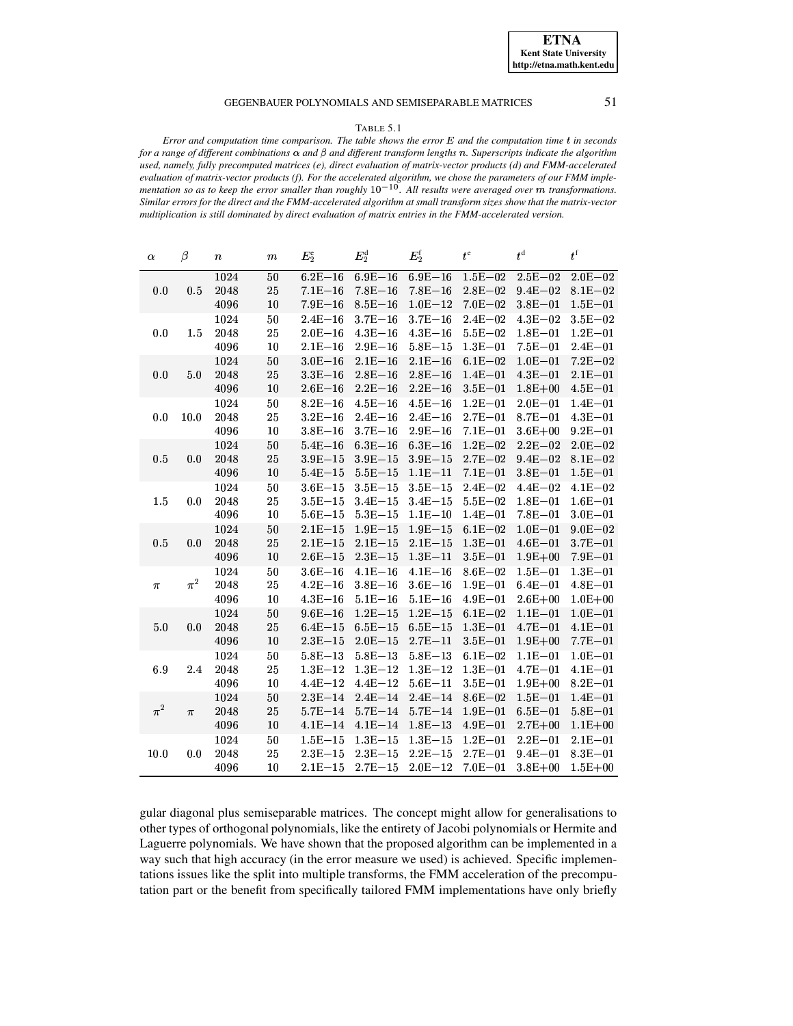#### TABLE 5.1

<span id="page-25-0"></span>*Error and computation time comparison. The table shows the error* <sup>o</sup> *and the computation time* } *in seconds* for a range of different combinations  $\alpha$  and  $\beta$  and different transform lengths n. Superscripts indicate the algorithm *used, namely, fully precomputed matrices (e), direct evaluation of matrix-vector products (d) and FMM-accelerated* evaluation of matrix-vector products (f). For the accelerated algorithm, we chose the parameters of our FMM implementation so as to keep the error smaller than roughly  $10^{-10}$ . All results were averaged over  $\dot{m}$  transformations. Similar errors for the direct and the FMM-accelerated algorithm at small transform sizes show that the matrix-vector *multiplication is still dominated by direct evaluation of matrix entries in the FMM-accelerated version.*

| $\alpha$ | $\beta$ | $\it n$ | $\boldsymbol{m}$ | $E_2^e$     | $E_2^{\rm d}$ | $E_2^{\rm f}$ | $t^{\rm e}$             | $t^{\rm d}$         | $\boldsymbol{t}^\mathrm{f}$ |
|----------|---------|---------|------------------|-------------|---------------|---------------|-------------------------|---------------------|-----------------------------|
|          |         | 1024    | 50               | $6.2E - 16$ | $6.9E - 16$   | $6.9E - 16$   | $1.5E - 02$             | $2.5E - 02$         | $2.0E - 02$                 |
| 0.0      | 0.5     | 2048    | 25               | $7.1E - 16$ | $7.8E - 16$   | $7.8E - 16$   | $2.8E - 02$             | $9.4E - 02$         | $8.1E - 02$                 |
|          |         | 4096    | 10               | $7.9E - 16$ | $8.5E - 16$   | $1.0E - 12$   | $7.0E - 02$             | $3.8E - 01$         | $1.5E - 01$                 |
|          |         | 1024    | 50               | $2.4E - 16$ | $3.7E - 16$   | $3.7E - 16$   | $2.4E - 02$             | $4.3E - 02$         | $3.5E - 02$                 |
| 0.0      | 1.5     | 2048    | 25               | $2.0E - 16$ | $4.3E - 16$   | $4.3E - 16$   | $5.5E - 02$             | $1.8E - 01$         | $1.2E - 01$                 |
|          |         | 4096    | 10               | $2.1E - 16$ | $2.9E - 16$   | $5.8E - 15$   | $1.3E - 01$             | $7.5E - 01$         | $2.4E - 01$                 |
|          |         | 1024    | $50\,$           | $3.0E - 16$ | $2.1E - 16$   | $2.1E - 16$   | $6.1E - 02$             | $1.0E - 01$         | $7.2E - 02$                 |
| 0.0      | 5.0     | 2048    | 25               | $3.3E - 16$ | $2.8E - 16$   | $2.8E - 16$   | $1.4E - 01$             | $4.3E - 01$         | $2.1E - 01$                 |
|          |         | 4096    | 10               | $2.6E - 16$ | $2.2E - 16$   | $2.2E - 16$   | $3.5E-01$               | $1.8E + 00$         | $4.5E - 01$                 |
|          |         | 1024    | $50\,$           | $8.2E - 16$ | $4.5E - 16$   | $4.5E - 16$   | $1.2E - 01$             | $2.0E - 01$         | $1.4E - 01$                 |
| 0.0      | 10.0    | 2048    | 25               | $3.2E - 16$ | $2.4E - 16$   | $2.4E - 16$   | $2.7E - 01$             | $8.7E - 01$         | $4.3E - 01$                 |
|          |         | 4096    | 10               | $3.8E - 16$ | $3.7E - 16$   | $2.9E - 16$   | $7.1E - 01$             | $3.6E + 00$         | $9.2E - 01$                 |
|          |         | 1024    | 50               | $5.4E - 16$ | $6.3E - 16$   | $6.3E - 16$   | $1.2E - 02$             | $2.2E - 02$         | $2.0E - 02$                 |
| 0.5      | 0.0     | 2048    | 25               | $3.9E - 15$ | $3.9E - 15$   | $3.9E - 15$   | $2.7E - 02$             | $9.4E - 02$         | $8.1E - 02$                 |
|          |         | 4096    | 10               | $5.4E - 15$ | $5.5E - 15$   | $1.1E - 11$   | $7.1E - 01$             | $3.8E - 01$         | $1.5E - 01$                 |
|          |         | 1024    | 50               | $3.6E - 15$ | $3.5E - 15$   | $3.5E - 15$   | $2.4E - 02$             | $4.4E - 02$         | $4.1E - 02$                 |
| 1.5      | 0.0     | 2048    | $2\sqrt{5}$      | $3.5E - 15$ | $3.4E - 15$   | $3.4E - 15$   | $5.5E - 02$             | $1.8E - 01$         | $1.6E - 01$                 |
|          |         | 4096    | 10               | $5.6E - 15$ | $5.3E - 15$   | $1.1E - 10$   | $1.4E - 01$             | $7.8E - 01$         | $3.0E - 01$                 |
|          |         | 1024    | 50               | $2.1E - 15$ | $1.9E - 15$   | $1.9E - 15$   | $6.1E - 02$             | $1.0E - 01$         | $9.0E - 02$                 |
| 0.5      | 0.0     | 2048    | $2\sqrt{5}$      | $2.1E - 15$ | $2.1E - 15$   | $2.1E - 15$   | $1.3E - 01$             | $4.6E - 01$         | $3.7E - 01$                 |
|          |         | 4096    | 10               | $2.6E - 15$ | $2.3E-15$     | $1.3E - 11$   | $3.5E - 01$             | $1.9E + 00$         | $7.9E - 01$                 |
|          |         | 1024    | 50               | $3.6E - 16$ | $4.1E - 16$   | $4.1E - 16$   | $8.6E - 02$             | $1.5E - 01$         | $1.3E - 01$                 |
| $\pi$    | $\pi^2$ | 2048    | 25               | $4.2E - 16$ | $3.8E - 16$   | $36E - 16$    | $1.9E - 01$             | $6.4E - 01$         | $4.8E - 01$                 |
|          |         | 4096    | 10               | $4.3E - 16$ | $5.1E - 16$   | $5.1E - 16$   |                         | $4.9E-01$ $2.6E+00$ | $1.0E + 00$                 |
|          |         | 1024    | $50\,$           | $9.6E - 16$ | $1.2E - 15$   | $1.2E - 15$   | $6.1E - 02$             | $1.1E - 01$         | $1.0E - 01$                 |
| 5.0      | 0.0     | 2048    | 25               | $6.4E - 15$ | $6.5E - 15$   | $6.5E - 15$   | $1.3E - 01$             | $4.7E - 01$         | $4.1E - 01$                 |
|          |         | 4096    | $10\,$           | $2.3E - 15$ | $2.0E - 15$   | $2.7E - 11$   |                         | $3.5E-01$ $1.9E+00$ | 7.7E-01                     |
|          |         | 1024    | $50\,$           | $5.8E - 13$ | $5.8E - 13$   | $5.8E - 13$   | $6.1E - 02$             | $1.1E - 01$         | $1.0E - 01$                 |
| 6.9      | 2.4     | 2048    | 25               | $1.3E - 12$ | $1.3E - 12$   | $1.3E - 12$   | $1.3E - 01$             | $4.7E - 01$         | $4.1E - 01$                 |
|          |         | 4096    | 10               | $4.4E - 12$ | $4.4E - 12$   | $5.6E - 11$   | $3.5E - 01$             | $1.9E + 00$         | $8.2E - 01$                 |
|          |         | 1024    | $50\,$           | $2.3E - 14$ | $2.4E - 14$   | $2.4E - 14$   | $8.6E - 02$             | $1.5E - 01$         | $1.4E - 01$                 |
| $\pi^2$  | $\pi$   | 2048    | 25               | $5.7E - 14$ | $5.7E - 14$   | $5.7E - 14$   | $1.9E-01$ 6.5E-01       |                     | $5.8E - 01$                 |
|          |         | 4096    | 10               | $4.1E - 14$ | $4.1E - 14$   | $1.8E - 13$   | $4.9E - 01$ $2.7E + 00$ |                     | $1.1E + 00$                 |
|          |         | 1024    | $50\,$           | $1.5E - 15$ | $1.3E - 15$   | $1.3E - 15$   | $1.2E - 01$             | $2.2E - 01$         | $2.1E - 01$                 |
| 10.0     | 0.0     | 2048    | 25               | $2.3E - 15$ | $2.3E - 15$   | $2.2E - 15$   | $2.7E - 01$             | $9.4E - 01$         | $83E - 01$                  |
|          |         | 4096    | 10               | $2.1E - 15$ | $2.7E - 15$   | $2.0E - 12$   | $7.0E - 01$             | $3.8E + 00$         | $1.5E + 00$                 |

gular diagonal plus semiseparable matrices. The concept might allow for generalisations to other types of orthogonal polynomials, like the entirety of Jacobi polynomials or Hermite and Laguerre polynomials. We have shown that the proposed algorithm can be implemented in a way such that high accuracy (in the error measure we used) is achieved. Specific implementations issues like the split into multiple transforms, the FMM acceleration of the precomputation part or the benefit from specifically tailored FMM implementations have only briefly

**ETNA Kent State University http://etna.math.kent.edu**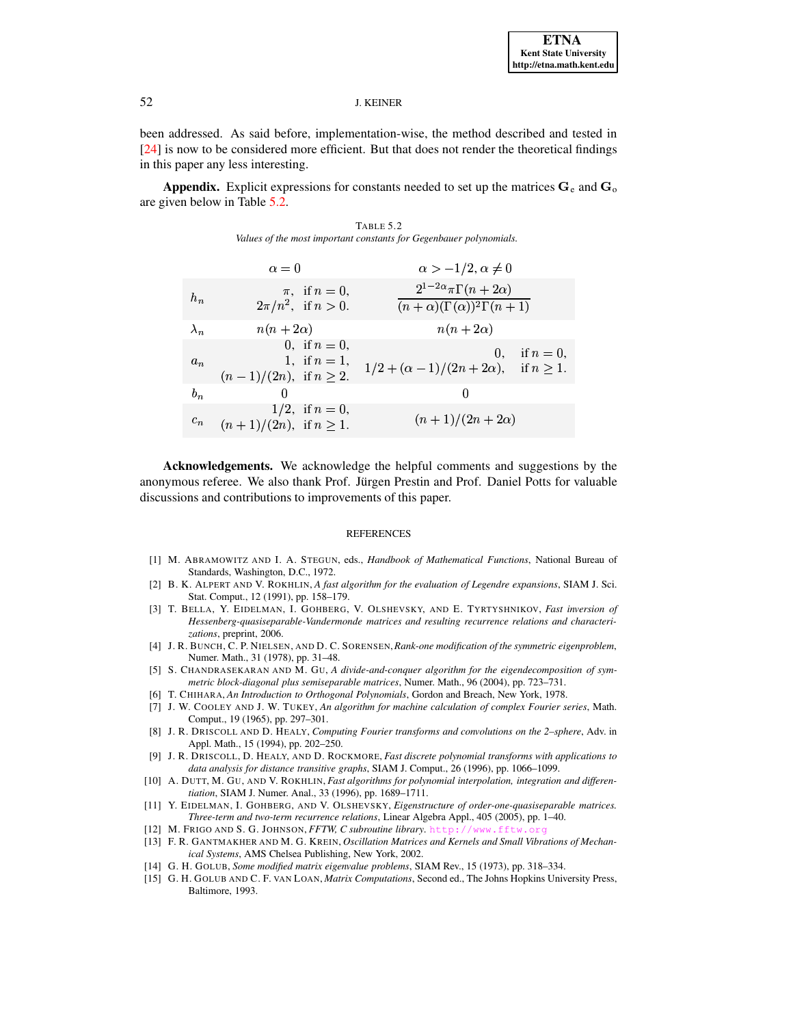been addressed. As said before, implementation-wise, the method described and tested in [24] is now to be considered more efficient. But that does not render the theoretical findings in this paper any less interesting.

**Appendix.** Explicit expressions for constants needed to set up the matrices  $\mathbf{G}_e$  and  $\mathbf{G}_o$ are given below in Table 5.2.

TABLE 5.2 Values of the most important constants for Gegenbauer polynomials.

<span id="page-26-15"></span>

|             | $\alpha=0$                                                           | $\alpha > -1/2, \alpha \neq 0$                                                   |
|-------------|----------------------------------------------------------------------|----------------------------------------------------------------------------------|
| $h_n$       | $\pi$ , if $n = 0$ ,<br>$2\pi/n^2$ , if $n > 0$ .                    | $2^{1-2\alpha}\pi\Gamma(n+2\alpha)$<br>$(n+\alpha)(\Gamma(\alpha))^2\Gamma(n+1)$ |
| $\lambda_n$ | $n(n+2\alpha)$                                                       | $n(n+2\alpha)$                                                                   |
| $a_n$       | 0. if $n = 0$ ,<br>1, if $n = 1$ ,<br>$(n-1)/(2n)$ , if $n \geq 2$ . | 0. if $n = 0$ ,<br>$1/2 + (\alpha - 1)/(2n + 2\alpha)$ , if $n \ge 1$ .          |
| $b_n$       | $\cup$                                                               | $\cup$                                                                           |
| $c_n$       | $1/2$ , if $n = 0$ ,<br>$(n+1)/(2n)$ , if $n \geq 1$ .               | $(n+1)/(2n+2\alpha)$                                                             |

Acknowledgements. We acknowledge the helpful comments and suggestions by the anonymous referee. We also thank Prof. Jürgen Prestin and Prof. Daniel Potts for valuable discussions and contributions to improvements of this paper.

#### **REFERENCES**

- <span id="page-26-14"></span>[1] M. ABRAMOWITZ AND I. A. STEGUN, eds., Handbook of Mathematical Functions, National Bureau of Standards, Washington, D.C., 1972.
- <span id="page-26-3"></span>[2] B. K. ALPERT AND V. ROKHLIN, A fast algorithm for the evaluation of Legendre expansions, SIAM J. Sci. Stat. Comput., 12 (1991), pp. 158-179.
- <span id="page-26-9"></span>[3] T. BELLA, Y. EIDELMAN, I. GOHBERG, V. OLSHEVSKY, AND E. TYRTYSHNIKOV, Fast inversion of Hessenberg-quasiseparable-Vandermonde matrices and resulting recurrence relations and characterizations, preprint, 2006.
- <span id="page-26-11"></span>[4] J. R. BUNCH, C. P. NIELSEN, AND D. C. SORENSEN, Rank-one modification of the symmetric eigenproblem, Numer. Math., 31 (1978), pp. 31–48.
- <span id="page-26-6"></span>[5] S. CHANDRASEKARAN AND M. GU, A divide-and-conquer algorithm for the eigendecomposition of symmetric block-diagonal plus semiseparable matrices, Numer. Math., 96 (2004), pp. 723-731.
- <span id="page-26-1"></span><span id="page-26-0"></span>[6] T. CHIHARA, An Introduction to Orthogonal Polynomials, Gordon and Breach, New York, 1978.
- [7] J. W. COOLEY AND J. W. TUKEY, An algorithm for machine calculation of complex Fourier series, Math. Comput., 19 (1965), pp. 297-301.
- <span id="page-26-5"></span>[8] J. R. DRISCOLL AND D. HEALY, Computing Fourier transforms and convolutions on the 2-sphere, Adv. in Appl. Math., 15 (1994), pp. 202-250.
- <span id="page-26-4"></span>[9] J. R. DRISCOLL, D. HEALY, AND D. ROCKMORE, Fast discrete polynomial transforms with applications to data analysis for distance transitive graphs, SIAM J. Comput., 26 (1996), pp. 1066-1099.
- <span id="page-26-13"></span>[10] A. DUTT, M. GU, AND V. ROKHLIN, Fast algorithms for polynomial interpolation, integration and differentiation, SIAM J. Numer. Anal., 33 (1996), pp. 1689-1711.
- <span id="page-26-8"></span>[11] Y. EIDELMAN, I. GOHBERG, AND V. OLSHEVSKY, Eigenstructure of order-one-quasiseparable matrices. Three-term and two-term recurrence relations, Linear Algebra Appl., 405 (2005), pp. 1-40.
- <span id="page-26-7"></span><span id="page-26-2"></span>[12] M. FRIGO AND S. G. JOHNSON, FFTW, C subroutine library. http /www.ffty
- [13] F. R. GANTMAKHER AND M. G. KREIN, Oscillation Matrices and Kernels and Small Vibrations of Mechanical Systems, AMS Chelsea Publishing, New York, 2002.
- <span id="page-26-12"></span><span id="page-26-10"></span>[14] G. H. GOLUB, Some modified matrix eigenvalue problems, SIAM Rev., 15 (1973), pp. 318-334.
- [15] G. H. GOLUB AND C. F. VAN LOAN, *Matrix Computations*, Second ed., The Johns Hopkins University Press, Baltimore, 1993.